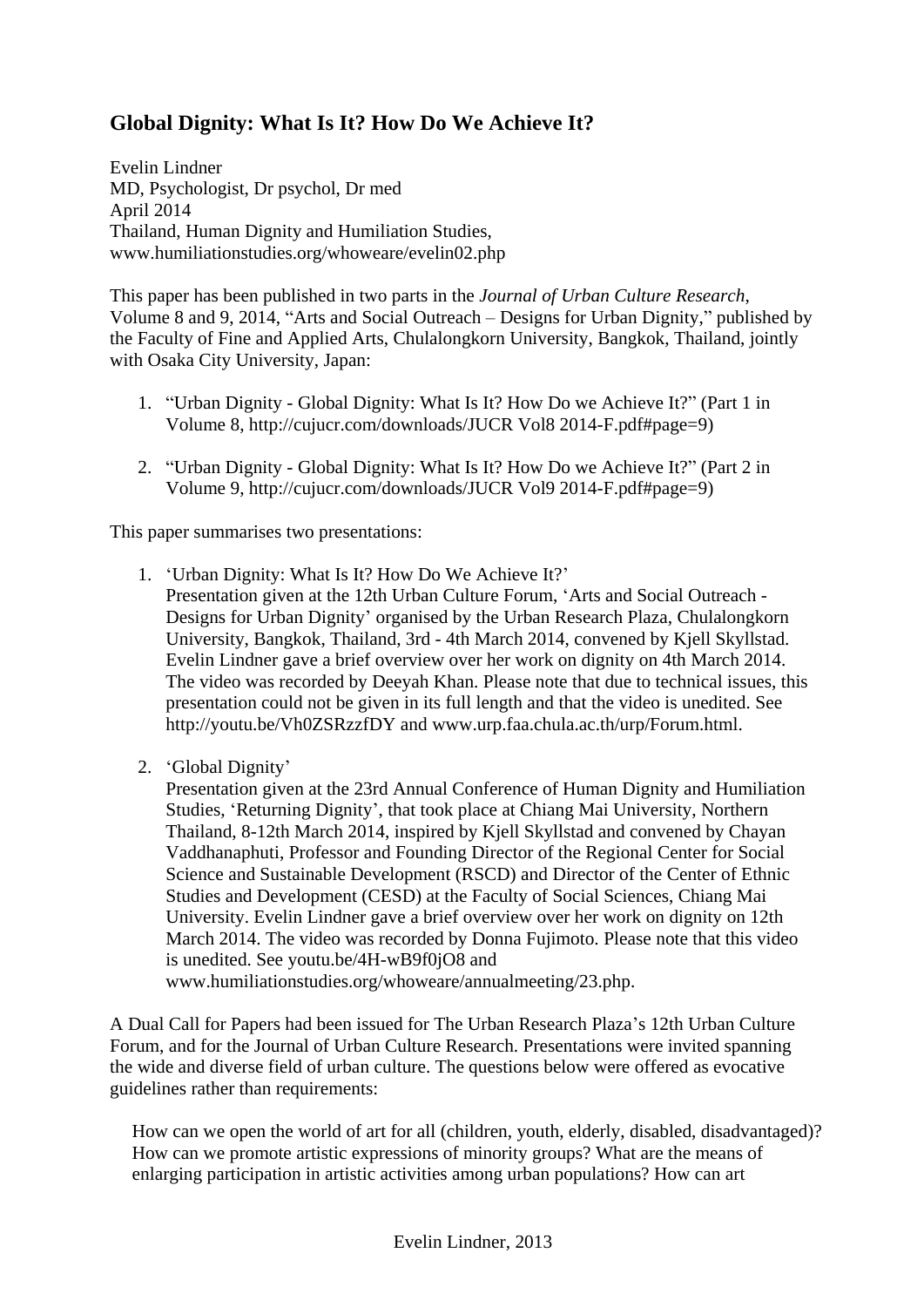# **Global Dignity: What Is It? How Do We Achieve It?**

Evelin Lindner MD, Psychologist, Dr psychol, Dr med April 2014 Thailand, Human Dignity and Humiliation Studies, www.humiliationstudies.org/whoweare/evelin02.php

This paper has been published in two parts in the *Journal of Urban Culture Research*, Volume 8 and 9, 2014, "Arts and Social Outreach – Designs for Urban Dignity," published by the Faculty of Fine and Applied Arts, Chulalongkorn University, Bangkok, Thailand, jointly with Osaka City University, Japan:

- 1. "Urban Dignity Global Dignity: What Is It? How Do we Achieve It?" (Part 1 in Volume 8, http://cujucr.com/downloads/JUCR Vol8 2014-F.pdf#page=9)
- 2. "Urban Dignity Global Dignity: What Is It? How Do we Achieve It?" (Part 2 in Volume 9, http://cujucr.com/downloads/JUCR Vol9 2014-F.pdf#page=9)

This paper summarises two presentations:

- 1. 'Urban Dignity: What Is It? How Do We Achieve It?'
	- Presentation given at the 12th Urban Culture Forum, 'Arts and Social Outreach Designs for Urban Dignity' organised by the Urban Research Plaza, Chulalongkorn University, Bangkok, Thailand, 3rd - 4th March 2014, convened by Kjell Skyllstad. Evelin Lindner gave a brief overview over her work on dignity on 4th March 2014. The video was recorded by Deeyah Khan. Please note that due to technical issues, this presentation could not be given in its full length and that the video is unedited. See http:/[/youtu.be/Vh0ZSRzzfDY](http://youtu.be/Vh0ZSRzzfDY) and [www.urp.faa.chula.ac.th/urp/Forum.html.](http://www.urp.faa.chula.ac.th/urp/Forum.html)
- 2. 'Global Dignity'

Presentation given at the 23rd Annual Conference of Human Dignity and Humiliation Studies, 'Returning Dignity', that took place at Chiang Mai University, Northern Thailand, 8-12th March 2014, inspired by Kjell Skyllstad and convened by Chayan Vaddhanaphuti, Professor and Founding Director of the Regional Center for Social Science and Sustainable Development (RSCD) and Director of the Center of Ethnic Studies and Development (CESD) at the Faculty of Social Sciences, Chiang Mai University. Evelin Lindner gave a brief overview over her work on dignity on 12th March 2014. The video was recorded by Donna Fujimoto. Please note that this video is unedited. See [youtu.be/4H-wB9f0jO8](http://youtu.be/4H-wB9f0jO8) and

[www.humiliationstudies.org/whoweare/annualmeeting/23.php.](http://www.humiliationstudies.org/whoweare/annualmeeting/23.php)

A Dual Call for Papers had been issued for The Urban Research Plaza's 12th Urban Culture Forum, and for the Journal of Urban Culture Research. Presentations were invited spanning the wide and diverse field of urban culture. The questions below were offered as evocative guidelines rather than requirements:

How can we open the world of art for all (children, youth, elderly, disabled, disadvantaged)? How can we promote artistic expressions of minority groups? What are the means of enlarging participation in artistic activities among urban populations? How can art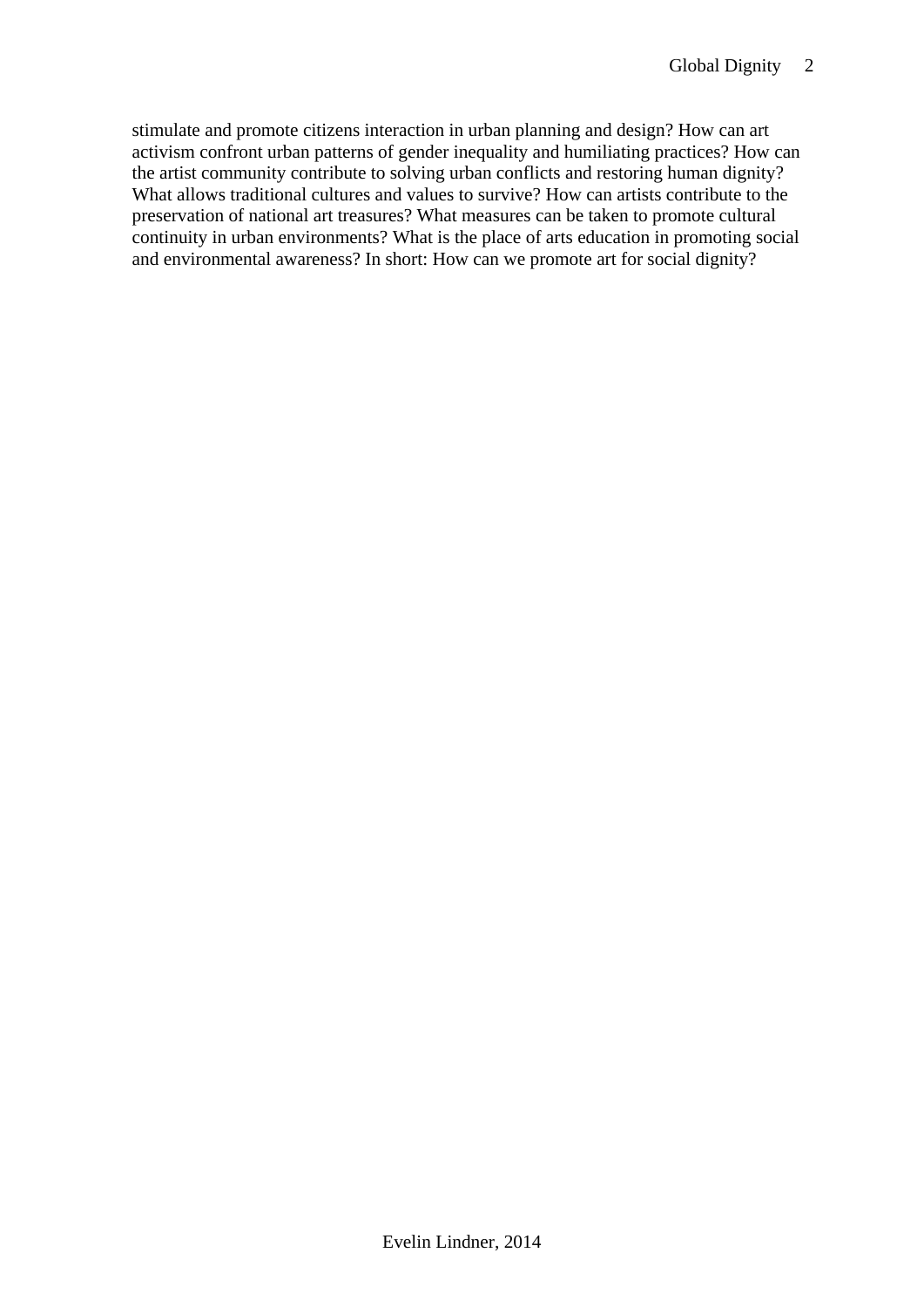stimulate and promote citizens interaction in urban planning and design? How can art activism confront urban patterns of gender inequality and humiliating practices? How can the artist community contribute to solving urban conflicts and restoring human dignity? What allows traditional cultures and values to survive? How can artists contribute to the preservation of national art treasures? What measures can be taken to promote cultural continuity in urban environments? What is the place of arts education in promoting social and environmental awareness? In short: How can we promote art for social dignity?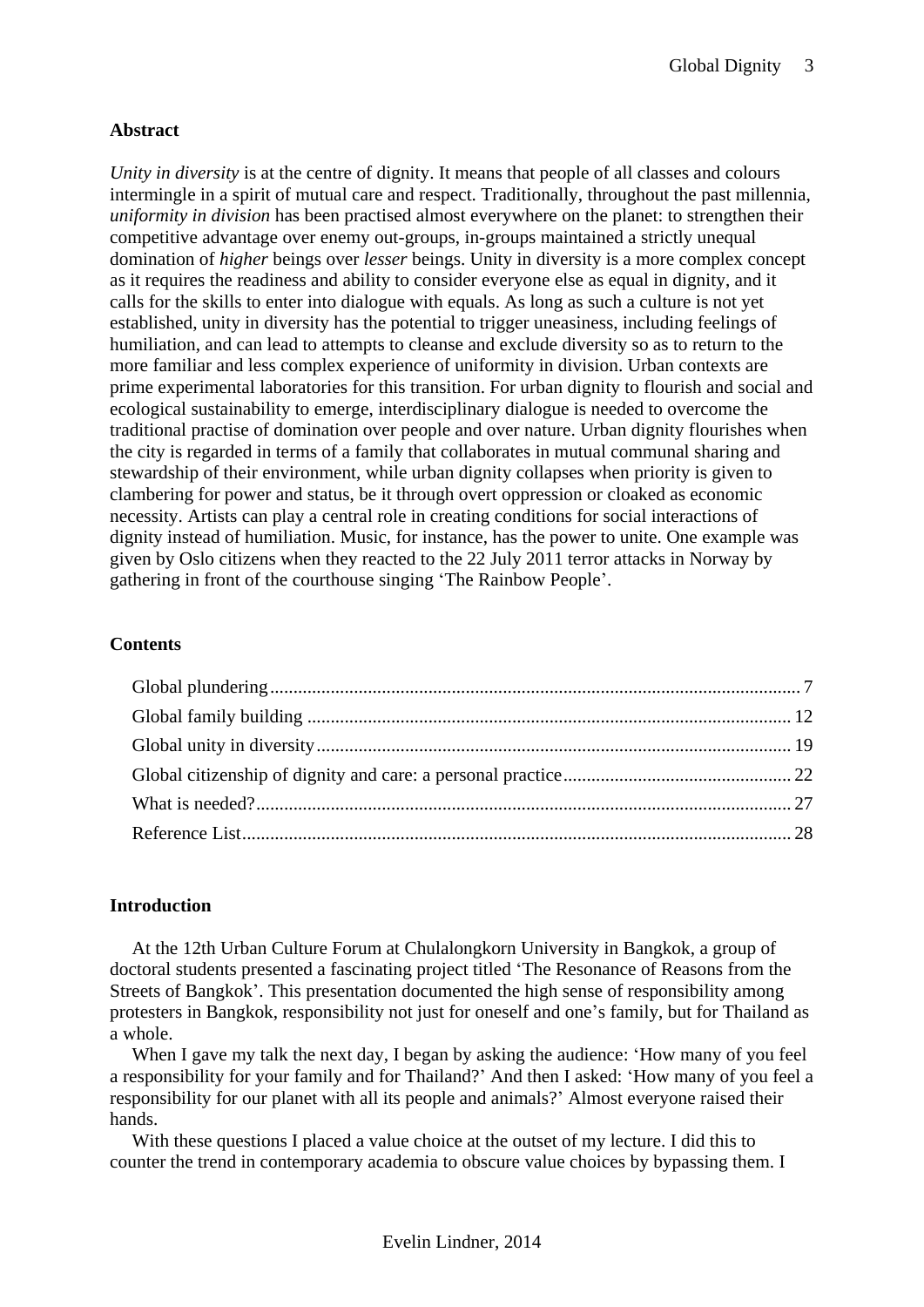# **Abstract**

*Unity in diversity* is at the centre of dignity. It means that people of all classes and colours intermingle in a spirit of mutual care and respect. Traditionally, throughout the past millennia, *uniformity in division* has been practised almost everywhere on the planet: to strengthen their competitive advantage over enemy out-groups, in-groups maintained a strictly unequal domination of *higher* beings over *lesser* beings. Unity in diversity is a more complex concept as it requires the readiness and ability to consider everyone else as equal in dignity, and it calls for the skills to enter into dialogue with equals. As long as such a culture is not yet established, unity in diversity has the potential to trigger uneasiness, including feelings of humiliation, and can lead to attempts to cleanse and exclude diversity so as to return to the more familiar and less complex experience of uniformity in division. Urban contexts are prime experimental laboratories for this transition. For urban dignity to flourish and social and ecological sustainability to emerge, interdisciplinary dialogue is needed to overcome the traditional practise of domination over people and over nature. Urban dignity flourishes when the city is regarded in terms of a family that collaborates in mutual communal sharing and stewardship of their environment, while urban dignity collapses when priority is given to clambering for power and status, be it through overt oppression or cloaked as economic necessity. Artists can play a central role in creating conditions for social interactions of dignity instead of humiliation. Music, for instance, has the power to unite. One example was given by Oslo citizens when they reacted to the 22 July 2011 terror attacks in Norway by gathering in front of the courthouse singing 'The Rainbow People'.

## **Contents**

## **Introduction**

At the 12th Urban Culture Forum at Chulalongkorn University in Bangkok, a group of doctoral students presented a fascinating project titled 'The Resonance of Reasons from the Streets of Bangkok'. This presentation documented the high sense of responsibility among protesters in Bangkok, responsibility not just for oneself and one's family, but for Thailand as a whole.

When I gave my talk the next day, I began by asking the audience: 'How many of you feel a responsibility for your family and for Thailand?' And then I asked: 'How many of you feel a responsibility for our planet with all its people and animals?' Almost everyone raised their hands.

With these questions I placed a value choice at the outset of my lecture. I did this to counter the trend in contemporary academia to obscure value choices by bypassing them. I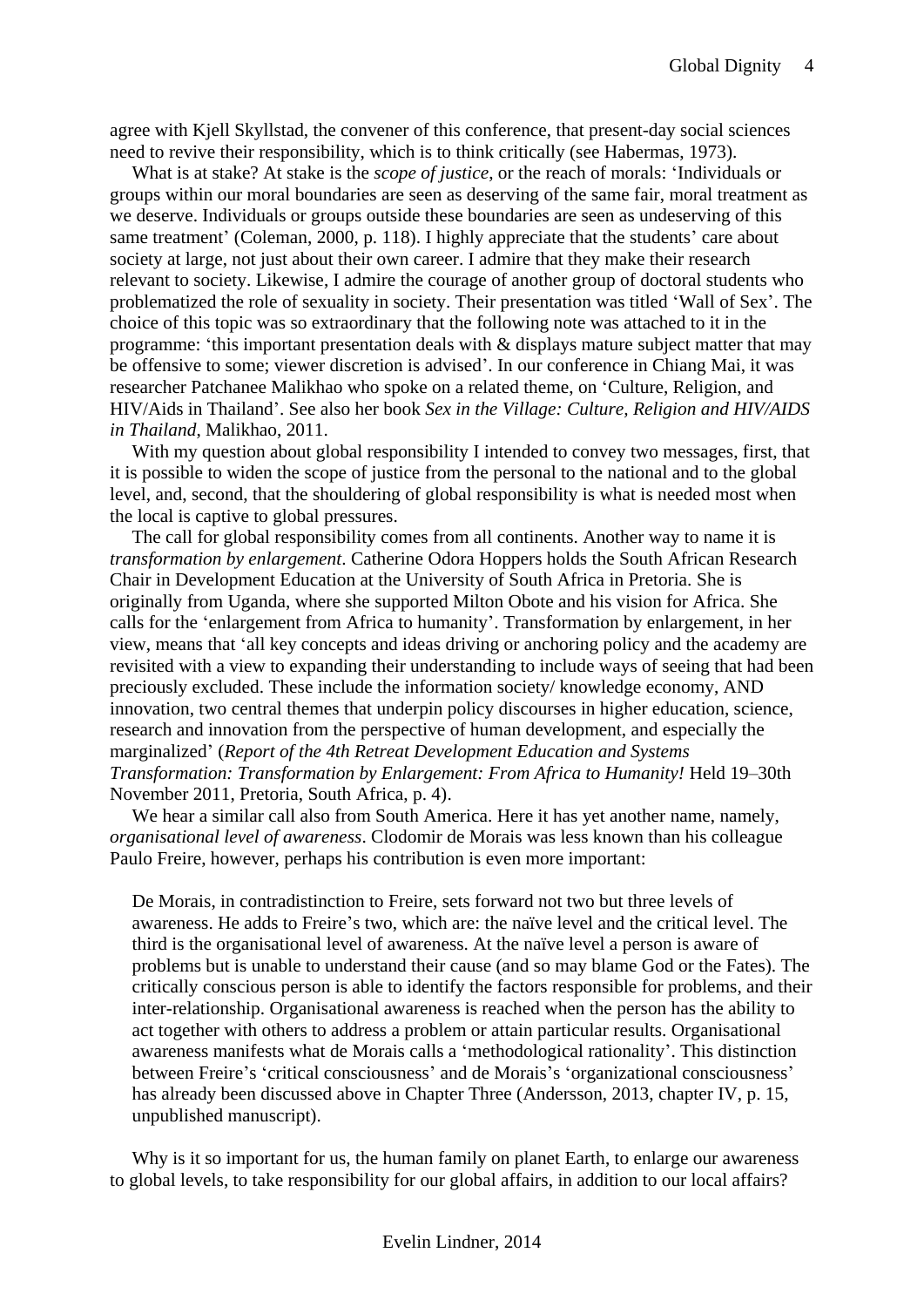agree with Kjell Skyllstad, the convener of this conference, that present-day social sciences need to revive their responsibility, which is to think critically (see Habermas, 1973).

What is at stake? At stake is the *scope of justice*, or the reach of morals: 'Individuals or groups within our moral boundaries are seen as deserving of the same fair, moral treatment as we deserve. Individuals or groups outside these boundaries are seen as undeserving of this same treatment' (Coleman, 2000, p. 118). I highly appreciate that the students' care about society at large, not just about their own career. I admire that they make their research relevant to society. Likewise, I admire the courage of another group of doctoral students who problematized the role of sexuality in society. Their presentation was titled 'Wall of Sex'. The choice of this topic was so extraordinary that the following note was attached to it in the programme: 'this important presentation deals with & displays mature subject matter that may be offensive to some; viewer discretion is advised'. In our conference in Chiang Mai, it was researcher Patchanee Malikhao who spoke on a related theme, on 'Culture, Religion, and HIV/Aids in Thailand'. See also her book *Sex in the Village: Culture, Religion and HIV/AIDS in Thailand*, Malikhao, 2011.

With my question about global responsibility I intended to convey two messages, first, that it is possible to widen the scope of justice from the personal to the national and to the global level, and, second, that the shouldering of global responsibility is what is needed most when the local is captive to global pressures.

The call for global responsibility comes from all continents. Another way to name it is *transformation by enlargement*. Catherine Odora Hoppers holds the South African Research Chair in Development Education at the University of South Africa in Pretoria. She is originally from Uganda, where she supported Milton Obote and his vision for Africa. She calls for the 'enlargement from Africa to humanity'. Transformation by enlargement, in her view, means that 'all key concepts and ideas driving or anchoring policy and the academy are revisited with a view to expanding their understanding to include ways of seeing that had been preciously excluded. These include the information society/ knowledge economy, AND innovation, two central themes that underpin policy discourses in higher education, science, research and innovation from the perspective of human development, and especially the marginalized' (*Report of the 4th Retreat Development Education and Systems Transformation: Transformation by Enlargement: From Africa to Humanity!* Held 19–30th November 2011, Pretoria, South Africa, p. 4).

We hear a similar call also from South America. Here it has yet another name, namely, *organisational level of awareness*. Clodomir de Morais was less known than his colleague Paulo Freire, however, perhaps his contribution is even more important:

De Morais, in contradistinction to Freire, sets forward not two but three levels of awareness. He adds to Freire's two, which are: the naïve level and the critical level. The third is the organisational level of awareness. At the naïve level a person is aware of problems but is unable to understand their cause (and so may blame God or the Fates). The critically conscious person is able to identify the factors responsible for problems, and their inter-relationship. Organisational awareness is reached when the person has the ability to act together with others to address a problem or attain particular results. Organisational awareness manifests what de Morais calls a 'methodological rationality'. This distinction between Freire's 'critical consciousness' and de Morais's 'organizational consciousness' has already been discussed above in Chapter Three (Andersson, 2013, chapter IV, p. 15, unpublished manuscript).

Why is it so important for us, the human family on planet Earth, to enlarge our awareness to global levels, to take responsibility for our global affairs, in addition to our local affairs?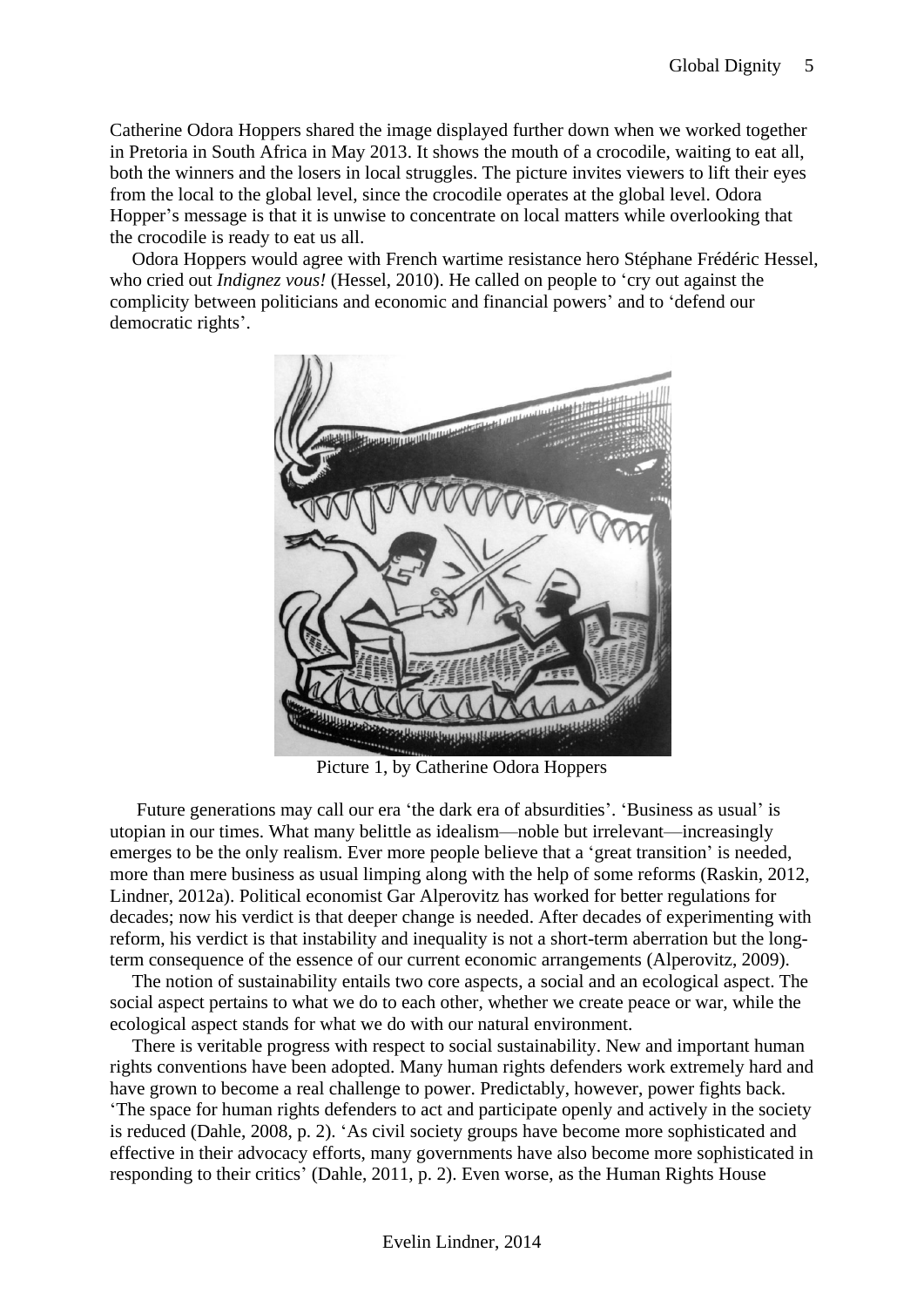Catherine Odora Hoppers shared the image displayed further down when we worked together in Pretoria in South Africa in May 2013. It shows the mouth of a crocodile, waiting to eat all, both the winners and the losers in local struggles. The picture invites viewers to lift their eyes from the local to the global level, since the crocodile operates at the global level. Odora Hopper's message is that it is unwise to concentrate on local matters while overlooking that the crocodile is ready to eat us all.

Odora Hoppers would agree with French wartime resistance hero Stéphane Frédéric Hessel, who cried out *Indignez vous!* (Hessel, 2010). He called on people to 'cry out against the complicity between politicians and economic and financial powers' and to 'defend our democratic rights'.



Picture 1, by Catherine Odora Hoppers

Future generations may call our era 'the dark era of absurdities'. 'Business as usual' is utopian in our times. What many belittle as idealism—noble but irrelevant—increasingly emerges to be the only realism. Ever more people believe that a 'great transition' is needed, more than mere business as usual limping along with the help of some reforms (Raskin, 2012, Lindner, 2012a). Political economist Gar Alperovitz has worked for better regulations for decades; now his verdict is that deeper change is needed. After decades of experimenting with reform, his verdict is that instability and inequality is not a short-term aberration but the longterm consequence of the essence of our current economic arrangements (Alperovitz, 2009).

The notion of sustainability entails two core aspects, a social and an ecological aspect. The social aspect pertains to what we do to each other, whether we create peace or war, while the ecological aspect stands for what we do with our natural environment.

There is veritable progress with respect to social sustainability. New and important human rights conventions have been adopted. Many human rights defenders work extremely hard and have grown to become a real challenge to power. Predictably, however, power fights back. 'The space for human rights defenders to act and participate openly and actively in the society is reduced (Dahle, 2008, p. 2). 'As civil society groups have become more sophisticated and effective in their advocacy efforts, many governments have also become more sophisticated in responding to their critics' (Dahle, 2011, p. 2). Even worse, as the Human Rights House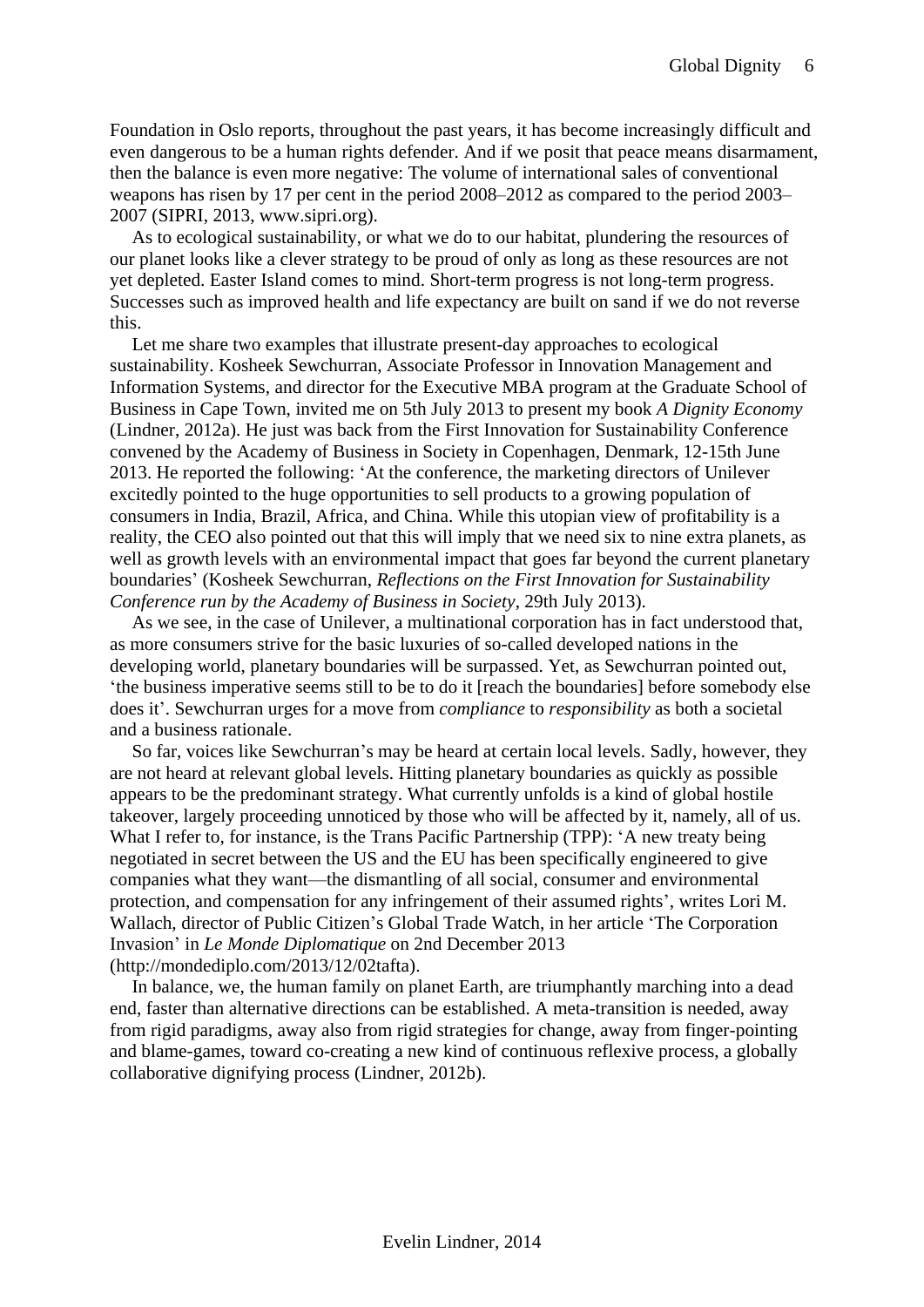Foundation in Oslo reports, throughout the past years, it has become increasingly difficult and even dangerous to be a human rights defender. And if we posit that peace means disarmament, then the balance is even more negative: The volume of international sales of conventional weapons has risen by 17 per cent in the period 2008–2012 as compared to the period 2003– 2007 (SIPRI, 2013, www.sipri.org).

As to ecological sustainability, or what we do to our habitat, plundering the resources of our planet looks like a clever strategy to be proud of only as long as these resources are not yet depleted. Easter Island comes to mind. Short-term progress is not long-term progress. Successes such as improved health and life expectancy are built on sand if we do not reverse this.

Let me share two examples that illustrate present-day approaches to ecological sustainability. Kosheek Sewchurran, Associate Professor in Innovation Management and Information Systems, and director for the Executive MBA program at the Graduate School of Business in Cape Town, invited me on 5th July 2013 to present my book *A Dignity Economy* (Lindner, 2012a). He just was back from the First Innovation for Sustainability Conference convened by the Academy of Business in Society in Copenhagen, Denmark, 12-15th June 2013. He reported the following: 'At the conference, the marketing directors of Unilever excitedly pointed to the huge opportunities to sell products to a growing population of consumers in India, Brazil, Africa, and China. While this utopian view of profitability is a reality, the CEO also pointed out that this will imply that we need six to nine extra planets, as well as growth levels with an environmental impact that goes far beyond the current planetary boundaries' (Kosheek Sewchurran, *Reflections on the First Innovation for Sustainability Conference run by the Academy of Business in Society*, 29th July 2013).

As we see, in the case of Unilever, a multinational corporation has in fact understood that, as more consumers strive for the basic luxuries of so-called developed nations in the developing world, planetary boundaries will be surpassed. Yet, as Sewchurran pointed out, 'the business imperative seems still to be to do it [reach the boundaries] before somebody else does it'. Sewchurran urges for a move from *compliance* to *responsibility* as both a societal and a business rationale.

So far, voices like Sewchurran's may be heard at certain local levels. Sadly, however, they are not heard at relevant global levels. Hitting planetary boundaries as quickly as possible appears to be the predominant strategy. What currently unfolds is a kind of global hostile takeover, largely proceeding unnoticed by those who will be affected by it, namely, all of us. What I refer to, for instance, is the Trans Pacific Partnership (TPP): 'A new treaty being negotiated in secret between the US and the EU has been specifically engineered to give companies what they want—the dismantling of all social, consumer and environmental protection, and compensation for any infringement of their assumed rights', writes Lori M. Wallach, director of Public Citizen's Global Trade Watch, in her article 'The Corporation Invasion' in *Le Monde Diplomatique* on 2nd December 2013 (http://mondediplo.com/2013/12/02tafta).

In balance, we, the human family on planet Earth, are triumphantly marching into a dead end, faster than alternative directions can be established. A meta-transition is needed, away from rigid paradigms, away also from rigid strategies for change, away from finger-pointing and blame-games, toward co-creating a new kind of continuous reflexive process, a globally collaborative dignifying process (Lindner, 2012b).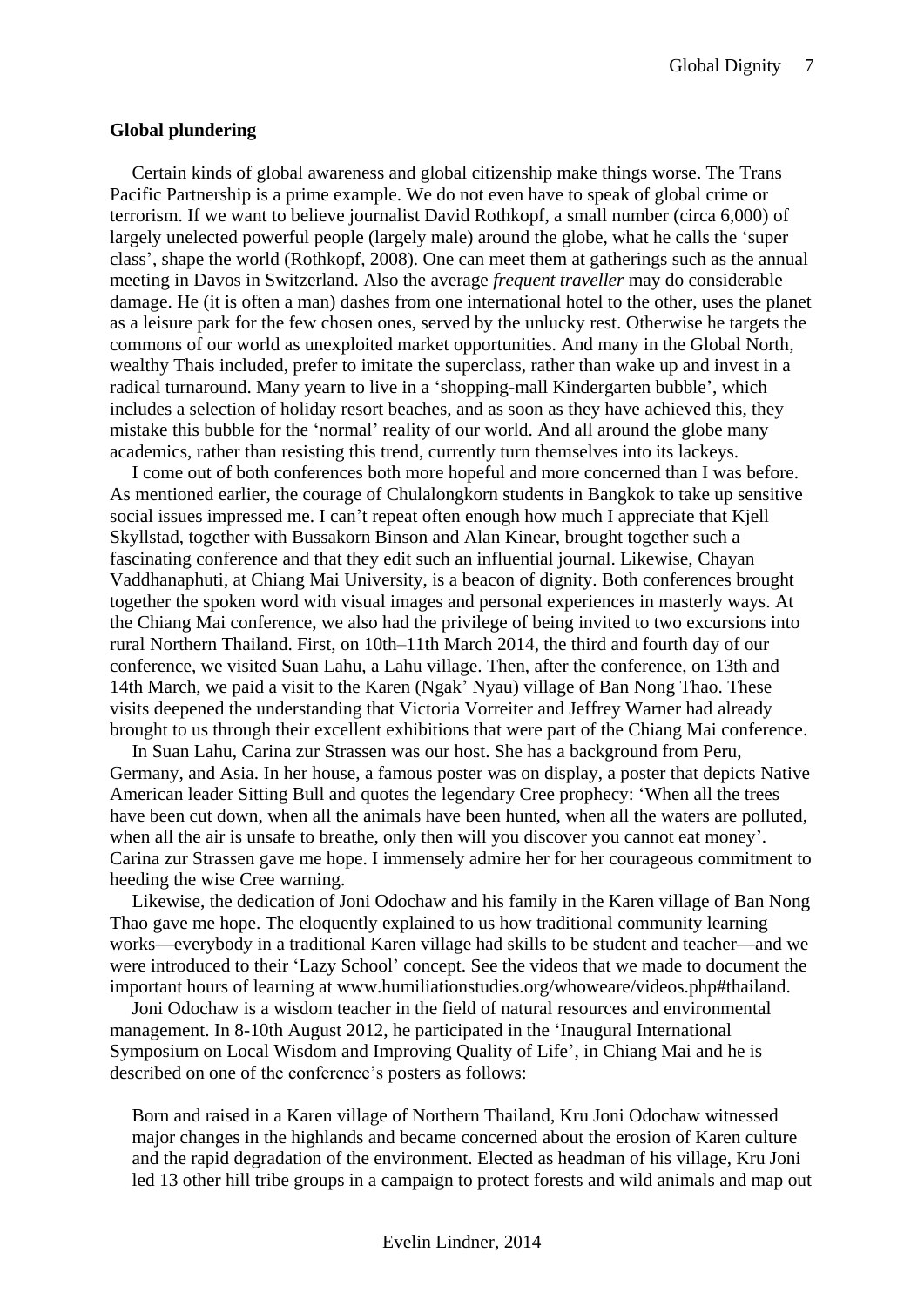#### <span id="page-6-0"></span>**Global plundering**

Certain kinds of global awareness and global citizenship make things worse. The Trans Pacific Partnership is a prime example. We do not even have to speak of global crime or terrorism. If we want to believe journalist David Rothkopf, a small number (circa 6,000) of largely unelected powerful people (largely male) around the globe, what he calls the 'super class', shape the world (Rothkopf, 2008). One can meet them at gatherings such as the annual meeting in Davos in Switzerland. Also the average *frequent traveller* may do considerable damage. He (it is often a man) dashes from one international hotel to the other, uses the planet as a leisure park for the few chosen ones, served by the unlucky rest. Otherwise he targets the commons of our world as unexploited market opportunities. And many in the Global North, wealthy Thais included, prefer to imitate the superclass, rather than wake up and invest in a radical turnaround. Many yearn to live in a 'shopping-mall Kindergarten bubble', which includes a selection of holiday resort beaches, and as soon as they have achieved this, they mistake this bubble for the 'normal' reality of our world. And all around the globe many academics, rather than resisting this trend, currently turn themselves into its lackeys.

I come out of both conferences both more hopeful and more concerned than I was before. As mentioned earlier, the courage of Chulalongkorn students in Bangkok to take up sensitive social issues impressed me. I can't repeat often enough how much I appreciate that Kjell Skyllstad, together with Bussakorn Binson and Alan Kinear, brought together such a fascinating conference and that they edit such an influential journal. Likewise, Chayan Vaddhanaphuti, at Chiang Mai University, is a beacon of dignity. Both conferences brought together the spoken word with visual images and personal experiences in masterly ways. At the Chiang Mai conference, we also had the privilege of being invited to two excursions into rural Northern Thailand. First, on 10th–11th March 2014, the third and fourth day of our conference, we visited Suan Lahu, a Lahu village. Then, after the conference, on 13th and 14th March, we paid a visit to the Karen (Ngak' Nyau) village of Ban Nong Thao. These visits deepened the understanding that Victoria Vorreiter and Jeffrey Warner had already brought to us through their excellent exhibitions that were part of the Chiang Mai conference.

In Suan Lahu, Carina zur Strassen was our host. She has a background from Peru, Germany, and Asia. In her house, a famous poster was on display, a poster that depicts Native American leader Sitting Bull and quotes the legendary Cree prophecy: 'When all the trees have been cut down, when all the animals have been hunted, when all the waters are polluted, when all the air is unsafe to breathe, only then will you discover you cannot eat money'. Carina zur Strassen gave me hope. I immensely admire her for her courageous commitment to heeding the wise Cree warning.

Likewise, the dedication of Joni Odochaw and his family in the Karen village of Ban Nong Thao gave me hope. The eloquently explained to us how traditional community learning works—everybody in a traditional Karen village had skills to be student and teacher—and we were introduced to their 'Lazy School' concept. See the videos that we made to document the important hours of learning at www.humiliationstudies.org/whoweare/videos.php#thailand.

Joni Odochaw is a wisdom teacher in the field of natural resources and environmental management. In 8-10th August 2012, he participated in the 'Inaugural International Symposium on Local Wisdom and Improving Quality of Life', in Chiang Mai and he is described on one of the conference's posters as follows:

Born and raised in a Karen village of Northern Thailand, Kru Joni Odochaw witnessed major changes in the highlands and became concerned about the erosion of Karen culture and the rapid degradation of the environment. Elected as headman of his village, Kru Joni led 13 other hill tribe groups in a campaign to protect forests and wild animals and map out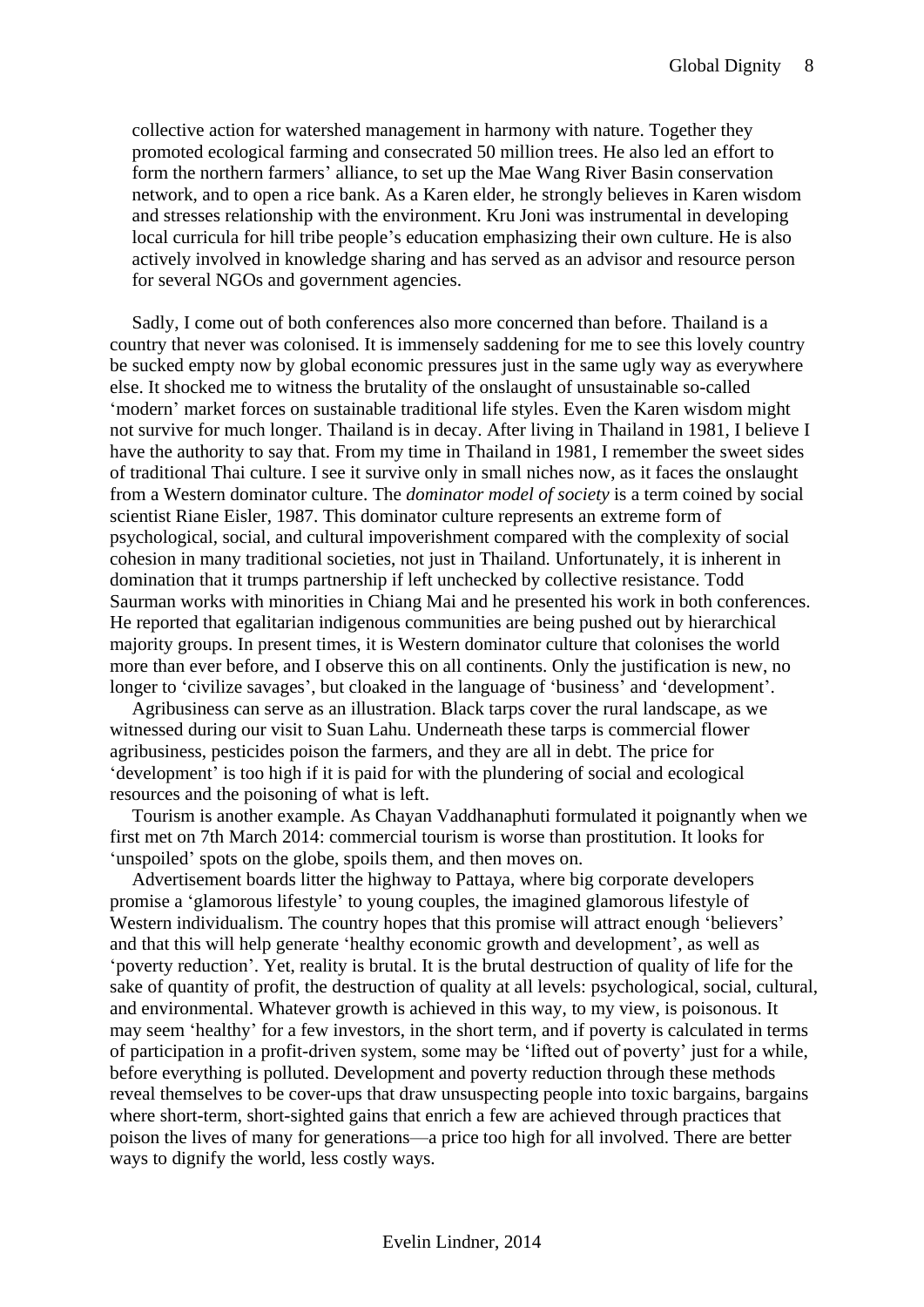collective action for watershed management in harmony with nature. Together they promoted ecological farming and consecrated 50 million trees. He also led an effort to form the northern farmers' alliance, to set up the Mae Wang River Basin conservation network, and to open a rice bank. As a Karen elder, he strongly believes in Karen wisdom and stresses relationship with the environment. Kru Joni was instrumental in developing local curricula for hill tribe people's education emphasizing their own culture. He is also actively involved in knowledge sharing and has served as an advisor and resource person for several NGOs and government agencies.

Sadly, I come out of both conferences also more concerned than before. Thailand is a country that never was colonised. It is immensely saddening for me to see this lovely country be sucked empty now by global economic pressures just in the same ugly way as everywhere else. It shocked me to witness the brutality of the onslaught of unsustainable so-called 'modern' market forces on sustainable traditional life styles. Even the Karen wisdom might not survive for much longer. Thailand is in decay. After living in Thailand in 1981, I believe I have the authority to say that. From my time in Thailand in 1981, I remember the sweet sides of traditional Thai culture. I see it survive only in small niches now, as it faces the onslaught from a Western dominator culture. The *dominator model of society* is a term coined by social scientist Riane Eisler, 1987. This dominator culture represents an extreme form of psychological, social, and cultural impoverishment compared with the complexity of social cohesion in many traditional societies, not just in Thailand. Unfortunately, it is inherent in domination that it trumps partnership if left unchecked by collective resistance. Todd Saurman works with minorities in Chiang Mai and he presented his work in both conferences. He reported that egalitarian indigenous communities are being pushed out by hierarchical majority groups. In present times, it is Western dominator culture that colonises the world more than ever before, and I observe this on all continents. Only the justification is new, no longer to 'civilize savages', but cloaked in the language of 'business' and 'development'.

Agribusiness can serve as an illustration. Black tarps cover the rural landscape, as we witnessed during our visit to Suan Lahu. Underneath these tarps is commercial flower agribusiness, pesticides poison the farmers, and they are all in debt. The price for 'development' is too high if it is paid for with the plundering of social and ecological resources and the poisoning of what is left.

Tourism is another example. As Chayan Vaddhanaphuti formulated it poignantly when we first met on 7th March 2014: commercial tourism is worse than prostitution. It looks for 'unspoiled' spots on the globe, spoils them, and then moves on.

Advertisement boards litter the highway to Pattaya, where big corporate developers promise a 'glamorous lifestyle' to young couples, the imagined glamorous lifestyle of Western individualism. The country hopes that this promise will attract enough 'believers' and that this will help generate 'healthy economic growth and development', as well as 'poverty reduction'. Yet, reality is brutal. It is the brutal destruction of quality of life for the sake of quantity of profit, the destruction of quality at all levels: psychological, social, cultural, and environmental. Whatever growth is achieved in this way, to my view, is poisonous. It may seem 'healthy' for a few investors, in the short term, and if poverty is calculated in terms of participation in a profit-driven system, some may be 'lifted out of poverty' just for a while, before everything is polluted. Development and poverty reduction through these methods reveal themselves to be cover-ups that draw unsuspecting people into toxic bargains, bargains where short-term, short-sighted gains that enrich a few are achieved through practices that poison the lives of many for generations—a price too high for all involved. There are better ways to dignify the world, less costly ways.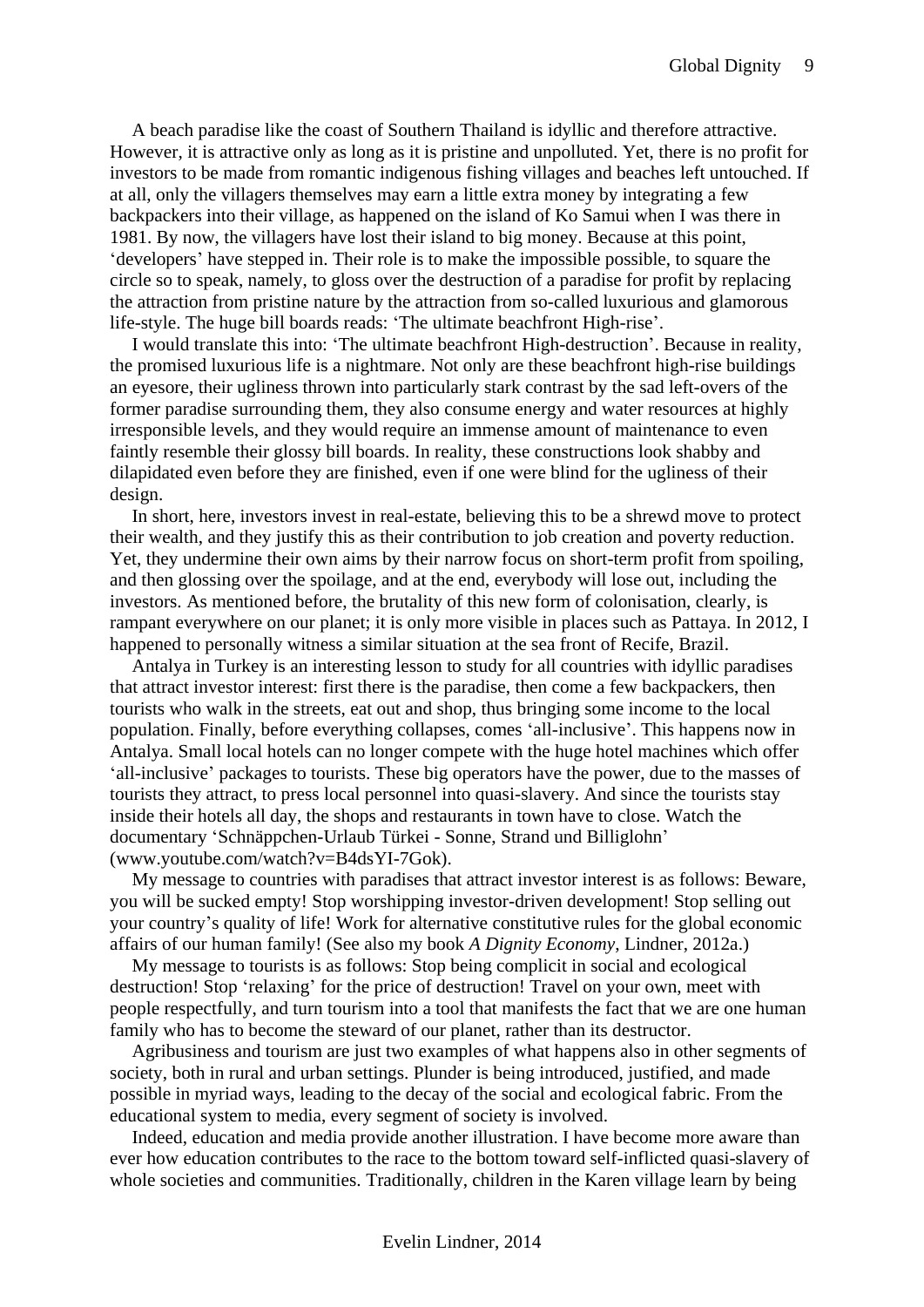A beach paradise like the coast of Southern Thailand is idyllic and therefore attractive. However, it is attractive only as long as it is pristine and unpolluted. Yet, there is no profit for investors to be made from romantic indigenous fishing villages and beaches left untouched. If at all, only the villagers themselves may earn a little extra money by integrating a few backpackers into their village, as happened on the island of Ko Samui when I was there in 1981. By now, the villagers have lost their island to big money. Because at this point, 'developers' have stepped in. Their role is to make the impossible possible, to square the circle so to speak, namely, to gloss over the destruction of a paradise for profit by replacing the attraction from pristine nature by the attraction from so-called luxurious and glamorous life-style. The huge bill boards reads: 'The ultimate beachfront High-rise'.

I would translate this into: 'The ultimate beachfront High-destruction'. Because in reality, the promised luxurious life is a nightmare. Not only are these beachfront high-rise buildings an eyesore, their ugliness thrown into particularly stark contrast by the sad left-overs of the former paradise surrounding them, they also consume energy and water resources at highly irresponsible levels, and they would require an immense amount of maintenance to even faintly resemble their glossy bill boards. In reality, these constructions look shabby and dilapidated even before they are finished, even if one were blind for the ugliness of their design.

In short, here, investors invest in real-estate, believing this to be a shrewd move to protect their wealth, and they justify this as their contribution to job creation and poverty reduction. Yet, they undermine their own aims by their narrow focus on short-term profit from spoiling, and then glossing over the spoilage, and at the end, everybody will lose out, including the investors. As mentioned before, the brutality of this new form of colonisation, clearly, is rampant everywhere on our planet; it is only more visible in places such as Pattaya. In 2012, I happened to personally witness a similar situation at the sea front of Recife, Brazil.

Antalya in Turkey is an interesting lesson to study for all countries with idyllic paradises that attract investor interest: first there is the paradise, then come a few backpackers, then tourists who walk in the streets, eat out and shop, thus bringing some income to the local population. Finally, before everything collapses, comes 'all-inclusive'. This happens now in Antalya. Small local hotels can no longer compete with the huge hotel machines which offer 'all-inclusive' packages to tourists. These big operators have the power, due to the masses of tourists they attract, to press local personnel into quasi-slavery. And since the tourists stay inside their hotels all day, the shops and restaurants in town have to close. Watch the documentary 'Schnäppchen-Urlaub Türkei - Sonne, Strand und Billiglohn' (www.youtube.com/watch?v=B4dsYI-7Gok).

My message to countries with paradises that attract investor interest is as follows: Beware, you will be sucked empty! Stop worshipping investor-driven development! Stop selling out your country's quality of life! Work for alternative constitutive rules for the global economic affairs of our human family! (See also my book *A Dignity Economy*, Lindner, 2012a.)

My message to tourists is as follows: Stop being complicit in social and ecological destruction! Stop 'relaxing' for the price of destruction! Travel on your own, meet with people respectfully, and turn tourism into a tool that manifests the fact that we are one human family who has to become the steward of our planet, rather than its destructor.

Agribusiness and tourism are just two examples of what happens also in other segments of society, both in rural and urban settings. Plunder is being introduced, justified, and made possible in myriad ways, leading to the decay of the social and ecological fabric. From the educational system to media, every segment of society is involved.

Indeed, education and media provide another illustration. I have become more aware than ever how education contributes to the race to the bottom toward self-inflicted quasi-slavery of whole societies and communities. Traditionally, children in the Karen village learn by being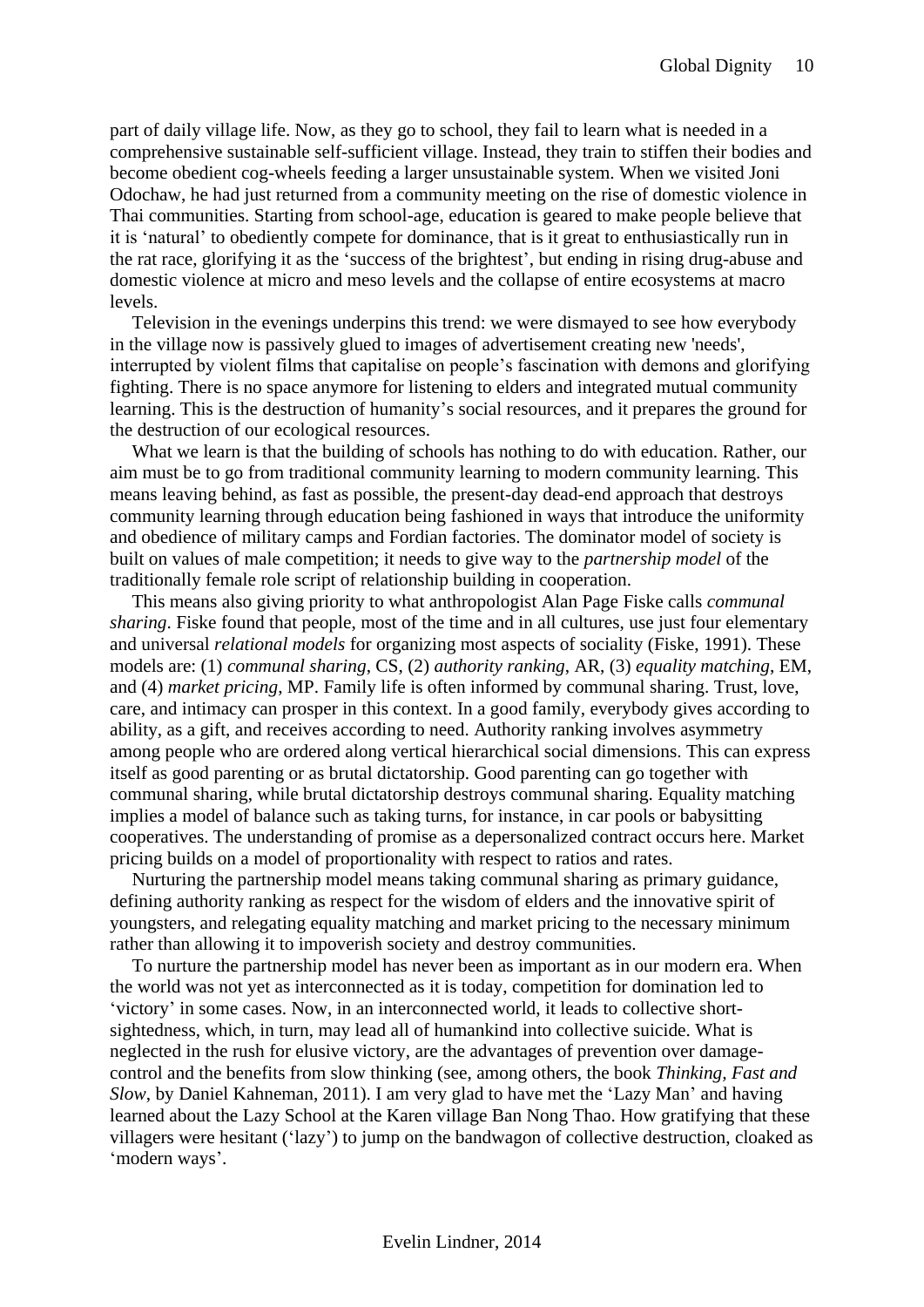part of daily village life. Now, as they go to school, they fail to learn what is needed in a comprehensive sustainable self-sufficient village. Instead, they train to stiffen their bodies and become obedient cog-wheels feeding a larger unsustainable system. When we visited Joni Odochaw, he had just returned from a community meeting on the rise of domestic violence in Thai communities. Starting from school-age, education is geared to make people believe that it is 'natural' to obediently compete for dominance, that is it great to enthusiastically run in the rat race, glorifying it as the 'success of the brightest', but ending in rising drug-abuse and domestic violence at micro and meso levels and the collapse of entire ecosystems at macro levels.

Television in the evenings underpins this trend: we were dismayed to see how everybody in the village now is passively glued to images of advertisement creating new 'needs', interrupted by violent films that capitalise on people's fascination with demons and glorifying fighting. There is no space anymore for listening to elders and integrated mutual community learning. This is the destruction of humanity's social resources, and it prepares the ground for the destruction of our ecological resources.

What we learn is that the building of schools has nothing to do with education. Rather, our aim must be to go from traditional community learning to modern community learning. This means leaving behind, as fast as possible, the present-day dead-end approach that destroys community learning through education being fashioned in ways that introduce the uniformity and obedience of military camps and Fordian factories. The dominator model of society is built on values of male competition; it needs to give way to the *partnership model* of the traditionally female role script of relationship building in cooperation.

This means also giving priority to what anthropologist Alan Page Fiske calls *communal sharing*. Fiske found that people, most of the time and in all cultures, use just four elementary and universal *relational models* for organizing most aspects of sociality (Fiske, 1991). These models are: (1) *communal sharing*, CS, (2) *authority ranking*, AR, (3) *equality matching*, EM, and (4) *market pricing*, MP. Family life is often informed by communal sharing. Trust, love, care, and intimacy can prosper in this context. In a good family, everybody gives according to ability, as a gift, and receives according to need. Authority ranking involves asymmetry among people who are ordered along vertical hierarchical social dimensions. This can express itself as good parenting or as brutal dictatorship. Good parenting can go together with communal sharing, while brutal dictatorship destroys communal sharing. Equality matching implies a model of balance such as taking turns, for instance, in car pools or babysitting cooperatives. The understanding of promise as a depersonalized contract occurs here. Market pricing builds on a model of proportionality with respect to ratios and rates.

Nurturing the partnership model means taking communal sharing as primary guidance, defining authority ranking as respect for the wisdom of elders and the innovative spirit of youngsters, and relegating equality matching and market pricing to the necessary minimum rather than allowing it to impoverish society and destroy communities.

To nurture the partnership model has never been as important as in our modern era. When the world was not yet as interconnected as it is today, competition for domination led to 'victory' in some cases. Now, in an interconnected world, it leads to collective shortsightedness, which, in turn, may lead all of humankind into collective suicide. What is neglected in the rush for elusive victory, are the advantages of prevention over damagecontrol and the benefits from slow thinking (see, among others, the book *Thinking, Fast and Slow*, by Daniel Kahneman, 2011). I am very glad to have met the 'Lazy Man' and having learned about the Lazy School at the Karen village Ban Nong Thao. How gratifying that these villagers were hesitant ('lazy') to jump on the bandwagon of collective destruction, cloaked as 'modern ways'.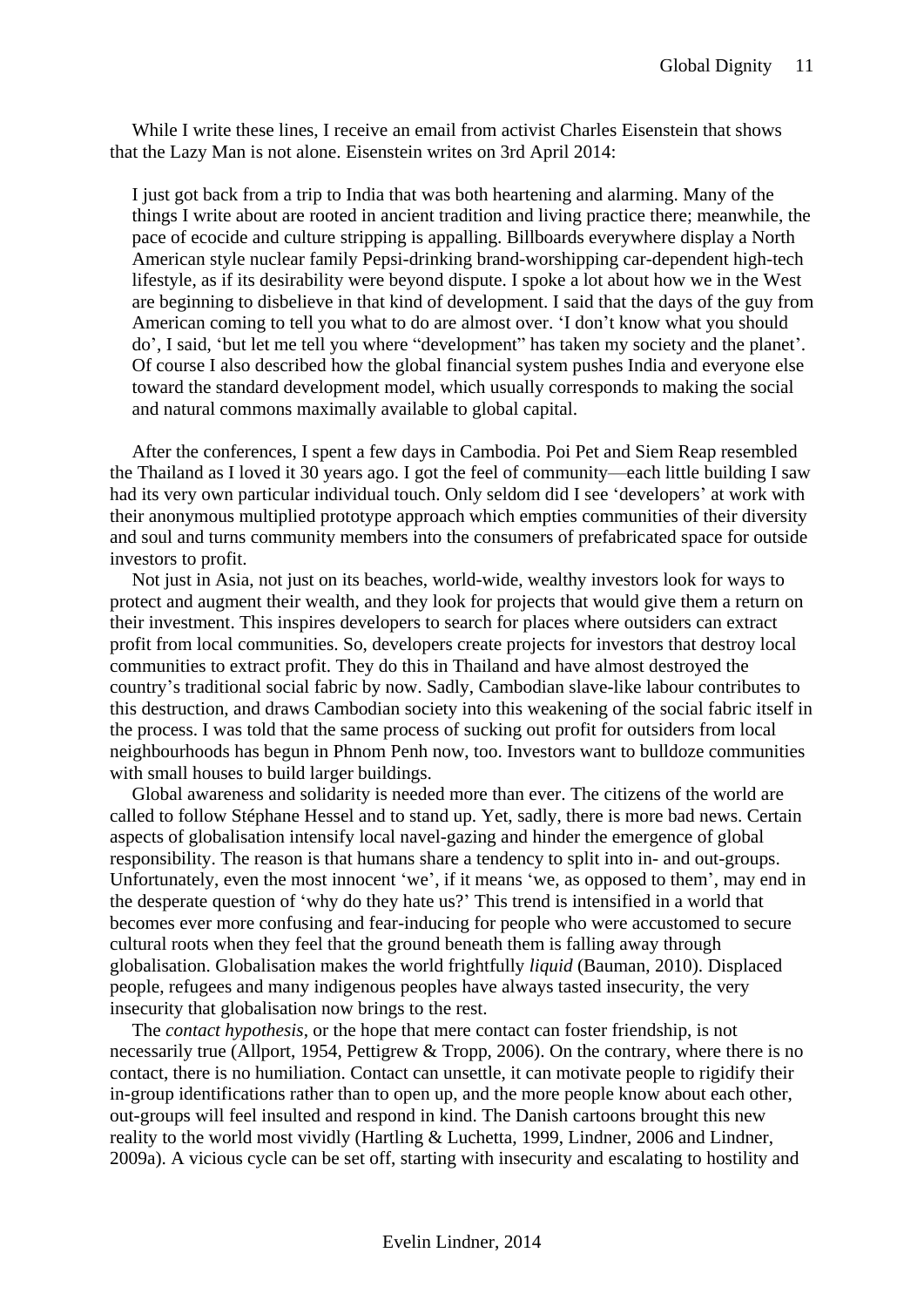While I write these lines, I receive an email from activist Charles Eisenstein that shows that the Lazy Man is not alone. Eisenstein writes on 3rd April 2014:

I just got back from a trip to India that was both heartening and alarming. Many of the things I write about are rooted in ancient tradition and living practice there; meanwhile, the pace of ecocide and culture stripping is appalling. Billboards everywhere display a North American style nuclear family Pepsi-drinking brand-worshipping car-dependent high-tech lifestyle, as if its desirability were beyond dispute. I spoke a lot about how we in the West are beginning to disbelieve in that kind of development. I said that the days of the guy from American coming to tell you what to do are almost over. 'I don't know what you should do', I said, 'but let me tell you where "development" has taken my society and the planet'. Of course I also described how the global financial system pushes India and everyone else toward the standard development model, which usually corresponds to making the social and natural commons maximally available to global capital.

After the conferences, I spent a few days in Cambodia. Poi Pet and Siem Reap resembled the Thailand as I loved it 30 years ago. I got the feel of community—each little building I saw had its very own particular individual touch. Only seldom did I see 'developers' at work with their anonymous multiplied prototype approach which empties communities of their diversity and soul and turns community members into the consumers of prefabricated space for outside investors to profit.

Not just in Asia, not just on its beaches, world-wide, wealthy investors look for ways to protect and augment their wealth, and they look for projects that would give them a return on their investment. This inspires developers to search for places where outsiders can extract profit from local communities. So, developers create projects for investors that destroy local communities to extract profit. They do this in Thailand and have almost destroyed the country's traditional social fabric by now. Sadly, Cambodian slave-like labour contributes to this destruction, and draws Cambodian society into this weakening of the social fabric itself in the process. I was told that the same process of sucking out profit for outsiders from local neighbourhoods has begun in Phnom Penh now, too. Investors want to bulldoze communities with small houses to build larger buildings.

Global awareness and solidarity is needed more than ever. The citizens of the world are called to follow Stéphane Hessel and to stand up. Yet, sadly, there is more bad news. Certain aspects of globalisation intensify local navel-gazing and hinder the emergence of global responsibility. The reason is that humans share a tendency to split into in- and out-groups. Unfortunately, even the most innocent 'we', if it means 'we, as opposed to them', may end in the desperate question of 'why do they hate us?' This trend is intensified in a world that becomes ever more confusing and fear-inducing for people who were accustomed to secure cultural roots when they feel that the ground beneath them is falling away through globalisation. Globalisation makes the world frightfully *liquid* (Bauman, 2010). Displaced people, refugees and many indigenous peoples have always tasted insecurity, the very insecurity that globalisation now brings to the rest.

The *contact hypothesis*, or the hope that mere contact can foster friendship, is not necessarily true (Allport, 1954, Pettigrew & Tropp, 2006). On the contrary, where there is no contact, there is no humiliation. Contact can unsettle, it can motivate people to rigidify their in-group identifications rather than to open up, and the more people know about each other, out-groups will feel insulted and respond in kind. The Danish cartoons brought this new reality to the world most vividly (Hartling & Luchetta, 1999, Lindner, 2006 and Lindner, 2009a). A vicious cycle can be set off, starting with insecurity and escalating to hostility and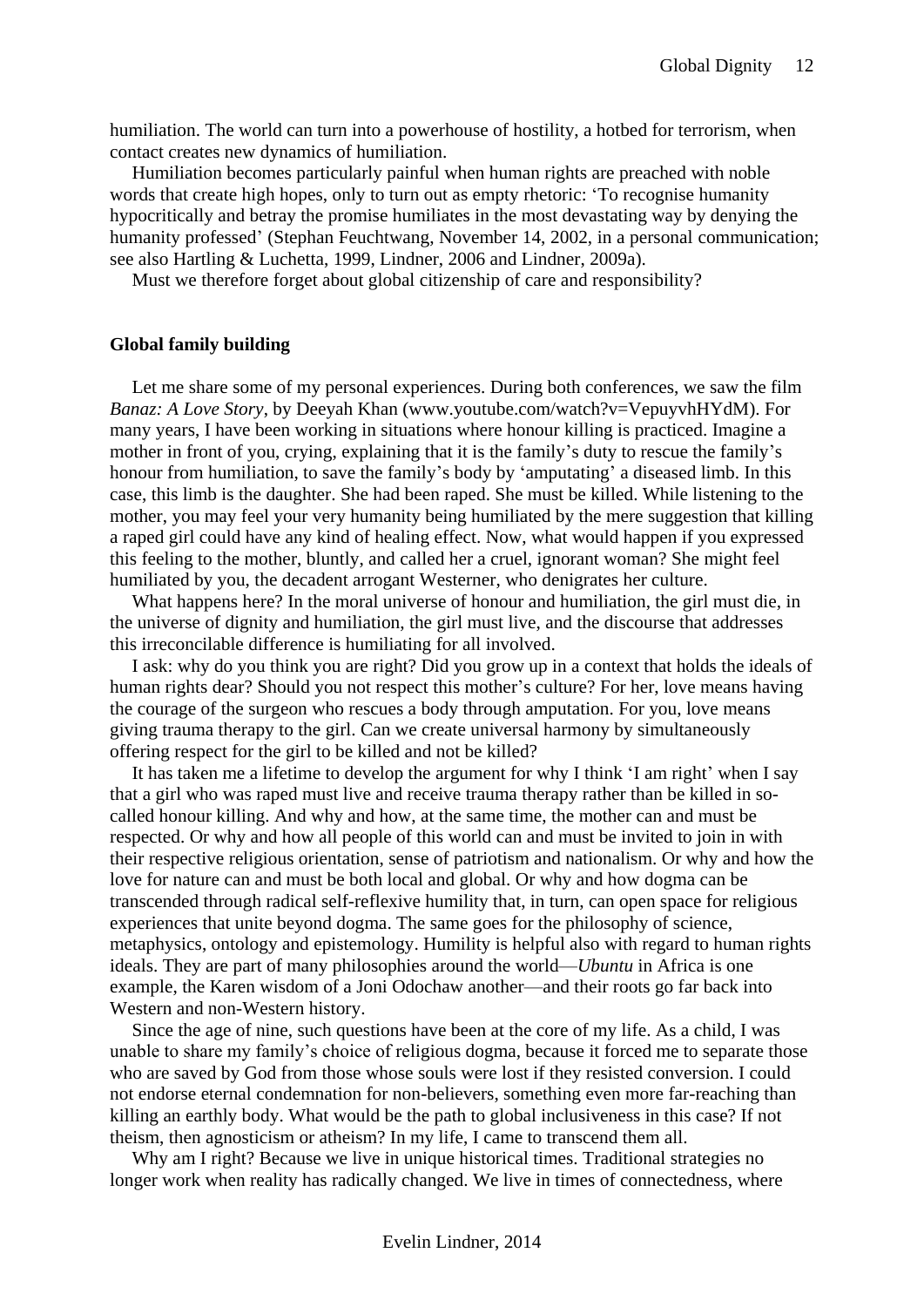humiliation. The world can turn into a powerhouse of hostility, a hotbed for terrorism, when contact creates new dynamics of humiliation.

Humiliation becomes particularly painful when human rights are preached with noble words that create high hopes, only to turn out as empty rhetoric: 'To recognise humanity hypocritically and betray the promise humiliates in the most devastating way by denying the humanity professed' (Stephan Feuchtwang, November 14, 2002, in a personal communication; see also Hartling & Luchetta, 1999, Lindner, 2006 and Lindner, 2009a).

Must we therefore forget about global citizenship of care and responsibility?

#### <span id="page-11-0"></span>**Global family building**

Let me share some of my personal experiences. During both conferences, we saw the film *Banaz: A Love Story*, by Deeyah Khan (www.youtube.com/watch?v=VepuyvhHYdM). For many years, I have been working in situations where honour killing is practiced. Imagine a mother in front of you, crying, explaining that it is the family's duty to rescue the family's honour from humiliation, to save the family's body by 'amputating' a diseased limb. In this case, this limb is the daughter. She had been raped. She must be killed. While listening to the mother, you may feel your very humanity being humiliated by the mere suggestion that killing a raped girl could have any kind of healing effect. Now, what would happen if you expressed this feeling to the mother, bluntly, and called her a cruel, ignorant woman? She might feel humiliated by you, the decadent arrogant Westerner, who denigrates her culture.

What happens here? In the moral universe of honour and humiliation, the girl must die, in the universe of dignity and humiliation, the girl must live, and the discourse that addresses this irreconcilable difference is humiliating for all involved.

I ask: why do you think you are right? Did you grow up in a context that holds the ideals of human rights dear? Should you not respect this mother's culture? For her, love means having the courage of the surgeon who rescues a body through amputation. For you, love means giving trauma therapy to the girl. Can we create universal harmony by simultaneously offering respect for the girl to be killed and not be killed?

It has taken me a lifetime to develop the argument for why I think 'I am right' when I say that a girl who was raped must live and receive trauma therapy rather than be killed in socalled honour killing. And why and how, at the same time, the mother can and must be respected. Or why and how all people of this world can and must be invited to join in with their respective religious orientation, sense of patriotism and nationalism. Or why and how the love for nature can and must be both local and global. Or why and how dogma can be transcended through radical self-reflexive humility that, in turn, can open space for religious experiences that unite beyond dogma. The same goes for the philosophy of science, metaphysics, ontology and epistemology. Humility is helpful also with regard to human rights ideals. They are part of many philosophies around the world—*Ubuntu* in Africa is one example, the Karen wisdom of a Joni Odochaw another—and their roots go far back into Western and non-Western history.

Since the age of nine, such questions have been at the core of my life. As a child, I was unable to share my family's choice of religious dogma, because it forced me to separate those who are saved by God from those whose souls were lost if they resisted conversion. I could not endorse eternal condemnation for non-believers, something even more far-reaching than killing an earthly body. What would be the path to global inclusiveness in this case? If not theism, then agnosticism or atheism? In my life, I came to transcend them all.

Why am I right? Because we live in unique historical times. Traditional strategies no longer work when reality has radically changed. We live in times of connectedness, where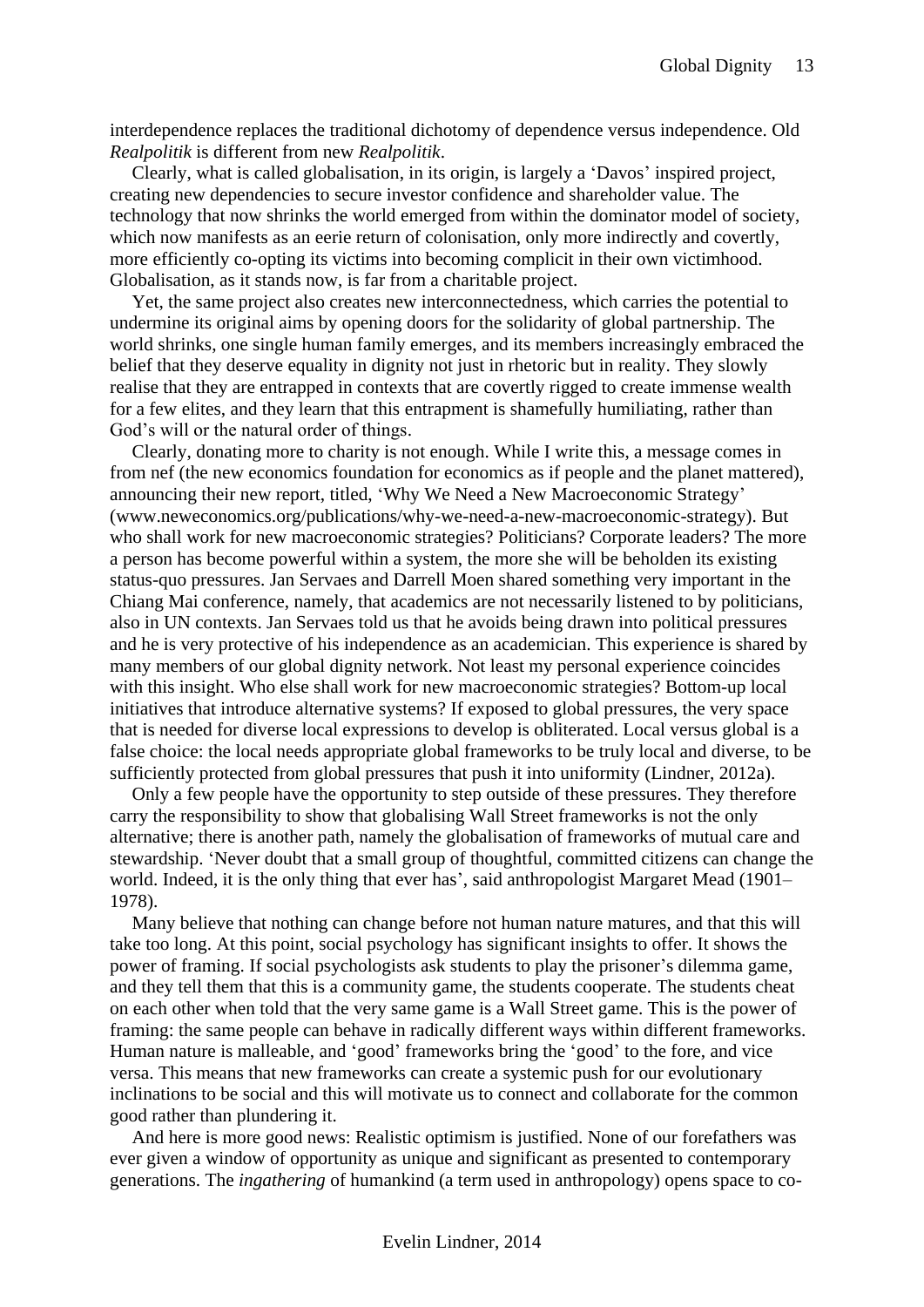interdependence replaces the traditional dichotomy of dependence versus independence. Old *Realpolitik* is different from new *Realpolitik*.

Clearly, what is called globalisation, in its origin, is largely a 'Davos' inspired project, creating new dependencies to secure investor confidence and shareholder value. The technology that now shrinks the world emerged from within the dominator model of society, which now manifests as an eerie return of colonisation, only more indirectly and covertly, more efficiently co-opting its victims into becoming complicit in their own victimhood. Globalisation, as it stands now, is far from a charitable project.

Yet, the same project also creates new interconnectedness, which carries the potential to undermine its original aims by opening doors for the solidarity of global partnership. The world shrinks, one single human family emerges, and its members increasingly embraced the belief that they deserve equality in dignity not just in rhetoric but in reality. They slowly realise that they are entrapped in contexts that are covertly rigged to create immense wealth for a few elites, and they learn that this entrapment is shamefully humiliating, rather than God's will or the natural order of things.

Clearly, donating more to charity is not enough. While I write this, a message comes in from nef (the new economics foundation for economics as if people and the planet mattered), announcing their new report, titled, 'Why We Need a New Macroeconomic Strategy' (www.neweconomics.org/publications/why-we-need-a-new-macroeconomic-strategy). But who shall work for new macroeconomic strategies? Politicians? Corporate leaders? The more a person has become powerful within a system, the more she will be beholden its existing status-quo pressures. Jan Servaes and Darrell Moen shared something very important in the Chiang Mai conference, namely, that academics are not necessarily listened to by politicians, also in UN contexts. Jan Servaes told us that he avoids being drawn into political pressures and he is very protective of his independence as an academician. This experience is shared by many members of our global dignity network. Not least my personal experience coincides with this insight. Who else shall work for new macroeconomic strategies? Bottom-up local initiatives that introduce alternative systems? If exposed to global pressures, the very space that is needed for diverse local expressions to develop is obliterated. Local versus global is a false choice: the local needs appropriate global frameworks to be truly local and diverse, to be sufficiently protected from global pressures that push it into uniformity (Lindner, 2012a).

Only a few people have the opportunity to step outside of these pressures. They therefore carry the responsibility to show that globalising Wall Street frameworks is not the only alternative; there is another path, namely the globalisation of frameworks of mutual care and stewardship. 'Never doubt that a small group of thoughtful, committed citizens can change the world. Indeed, it is the only thing that ever has', said anthropologist Margaret Mead (1901– 1978).

Many believe that nothing can change before not human nature matures, and that this will take too long. At this point, social psychology has significant insights to offer. It shows the power of framing. If social psychologists ask students to play the prisoner's dilemma game, and they tell them that this is a community game, the students cooperate. The students cheat on each other when told that the very same game is a Wall Street game. This is the power of framing: the same people can behave in radically different ways within different frameworks. Human nature is malleable, and 'good' frameworks bring the 'good' to the fore, and vice versa. This means that new frameworks can create a systemic push for our evolutionary inclinations to be social and this will motivate us to connect and collaborate for the common good rather than plundering it.

And here is more good news: Realistic optimism is justified. None of our forefathers was ever given a window of opportunity as unique and significant as presented to contemporary generations. The *ingathering* of humankind (a term used in anthropology) opens space to co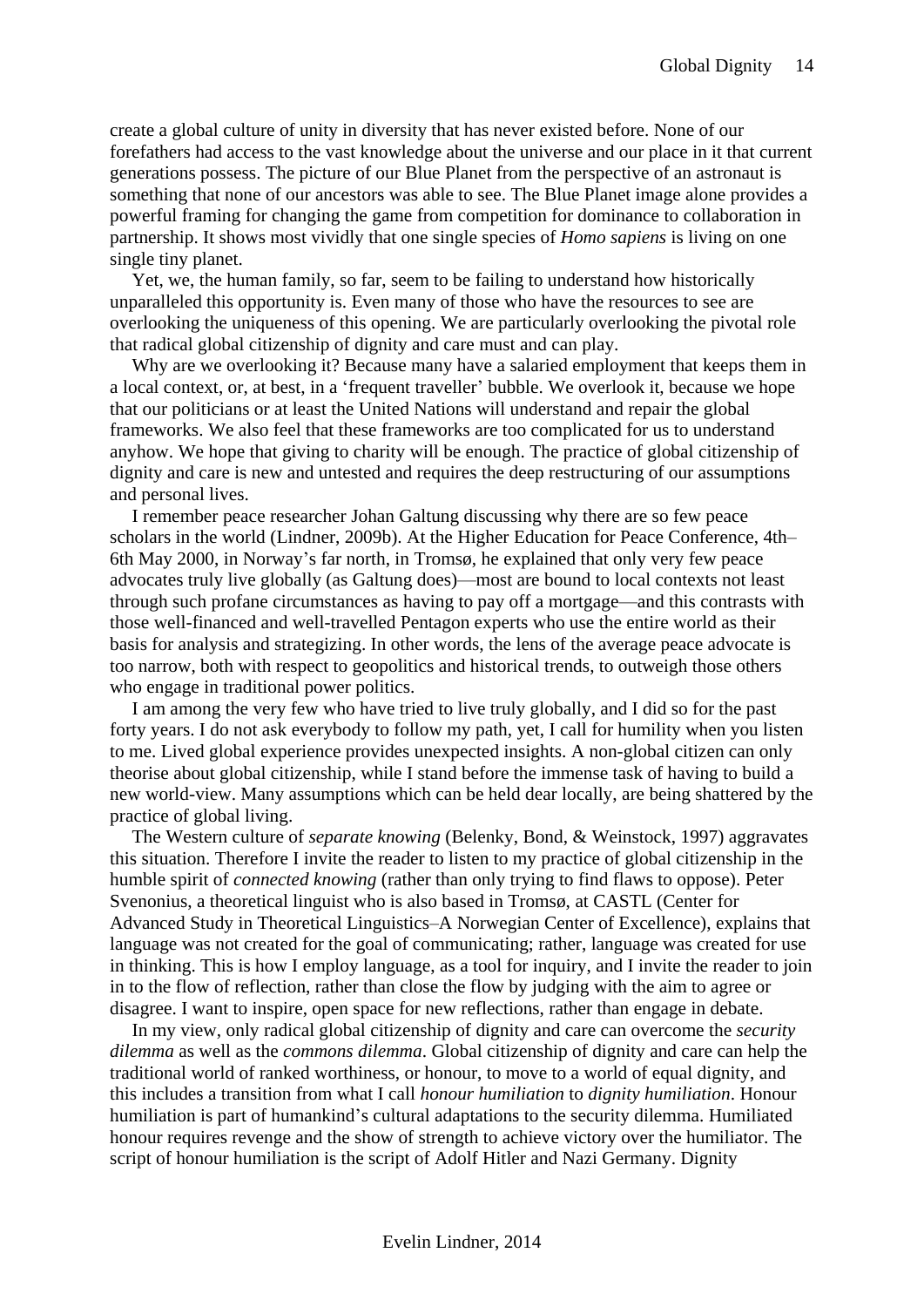create a global culture of unity in diversity that has never existed before. None of our forefathers had access to the vast knowledge about the universe and our place in it that current generations possess. The picture of our Blue Planet from the perspective of an astronaut is something that none of our ancestors was able to see. The Blue Planet image alone provides a powerful framing for changing the game from competition for dominance to collaboration in partnership. It shows most vividly that one single species of *Homo sapiens* is living on one single tiny planet.

Yet, we, the human family, so far, seem to be failing to understand how historically unparalleled this opportunity is. Even many of those who have the resources to see are overlooking the uniqueness of this opening. We are particularly overlooking the pivotal role that radical global citizenship of dignity and care must and can play.

Why are we overlooking it? Because many have a salaried employment that keeps them in a local context, or, at best, in a 'frequent traveller' bubble. We overlook it, because we hope that our politicians or at least the United Nations will understand and repair the global frameworks. We also feel that these frameworks are too complicated for us to understand anyhow. We hope that giving to charity will be enough. The practice of global citizenship of dignity and care is new and untested and requires the deep restructuring of our assumptions and personal lives.

I remember peace researcher Johan Galtung discussing why there are so few peace scholars in the world (Lindner, 2009b). At the Higher Education for Peace Conference, 4th– 6th May 2000, in Norway's far north, in Tromsø, he explained that only very few peace advocates truly live globally (as Galtung does)—most are bound to local contexts not least through such profane circumstances as having to pay off a mortgage—and this contrasts with those well-financed and well-travelled Pentagon experts who use the entire world as their basis for analysis and strategizing. In other words, the lens of the average peace advocate is too narrow, both with respect to geopolitics and historical trends, to outweigh those others who engage in traditional power politics.

I am among the very few who have tried to live truly globally, and I did so for the past forty years. I do not ask everybody to follow my path, yet, I call for humility when you listen to me. Lived global experience provides unexpected insights. A non-global citizen can only theorise about global citizenship, while I stand before the immense task of having to build a new world-view. Many assumptions which can be held dear locally, are being shattered by the practice of global living.

The Western culture of *separate knowing* (Belenky, Bond, & Weinstock, 1997) aggravates this situation. Therefore I invite the reader to listen to my practice of global citizenship in the humble spirit of *connected knowing* (rather than only trying to find flaws to oppose). Peter Svenonius, a theoretical linguist who is also based in Tromsø, at CASTL (Center for Advanced Study in Theoretical Linguistics–A Norwegian Center of Excellence), explains that language was not created for the goal of communicating; rather, language was created for use in thinking. This is how I employ language, as a tool for inquiry, and I invite the reader to join in to the flow of reflection, rather than close the flow by judging with the aim to agree or disagree. I want to inspire, open space for new reflections, rather than engage in debate.

In my view, only radical global citizenship of dignity and care can overcome the *security dilemma* as well as the *commons dilemma*. Global citizenship of dignity and care can help the traditional world of ranked worthiness, or honour, to move to a world of equal dignity, and this includes a transition from what I call *honour humiliation* to *dignity humiliation*. Honour humiliation is part of humankind's cultural adaptations to the security dilemma. Humiliated honour requires revenge and the show of strength to achieve victory over the humiliator. The script of honour humiliation is the script of Adolf Hitler and Nazi Germany. Dignity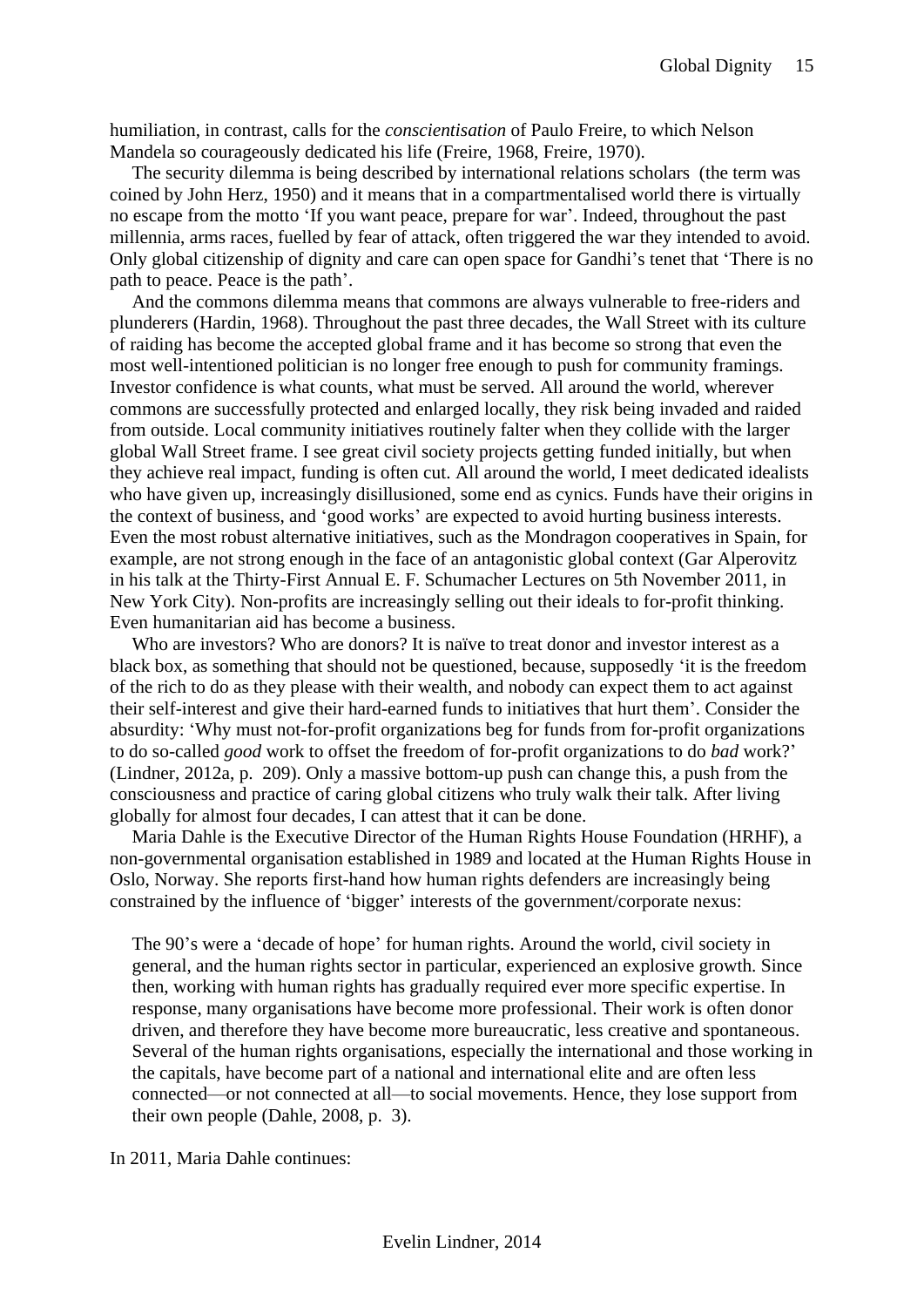humiliation, in contrast, calls for the *conscientisation* of Paulo Freire, to which Nelson Mandela so courageously dedicated his life (Freire, 1968, Freire, 1970).

The security dilemma is being described by international relations scholars (the term was coined by John Herz, 1950) and it means that in a compartmentalised world there is virtually no escape from the motto 'If you want peace, prepare for war'. Indeed, throughout the past millennia, arms races, fuelled by fear of attack, often triggered the war they intended to avoid. Only global citizenship of dignity and care can open space for Gandhi's tenet that 'There is no path to peace. Peace is the path'.

And the commons dilemma means that commons are always vulnerable to free-riders and plunderers (Hardin, 1968). Throughout the past three decades, the Wall Street with its culture of raiding has become the accepted global frame and it has become so strong that even the most well-intentioned politician is no longer free enough to push for community framings. Investor confidence is what counts, what must be served. All around the world, wherever commons are successfully protected and enlarged locally, they risk being invaded and raided from outside. Local community initiatives routinely falter when they collide with the larger global Wall Street frame. I see great civil society projects getting funded initially, but when they achieve real impact, funding is often cut. All around the world, I meet dedicated idealists who have given up, increasingly disillusioned, some end as cynics. Funds have their origins in the context of business, and 'good works' are expected to avoid hurting business interests. Even the most robust alternative initiatives, such as the Mondragon cooperatives in Spain, for example, are not strong enough in the face of an antagonistic global context (Gar Alperovitz in his talk at the Thirty-First Annual E. F. Schumacher Lectures on 5th November 2011, in New York City). Non-profits are increasingly selling out their ideals to for-profit thinking. Even humanitarian aid has become a business.

Who are investors? Who are donors? It is naïve to treat donor and investor interest as a black box, as something that should not be questioned, because, supposedly 'it is the freedom of the rich to do as they please with their wealth, and nobody can expect them to act against their self-interest and give their hard-earned funds to initiatives that hurt them'. Consider the absurdity: 'Why must not-for-profit organizations beg for funds from for-profit organizations to do so-called *good* work to offset the freedom of for-profit organizations to do *bad* work?' (Lindner, 2012a, p. 209). Only a massive bottom-up push can change this, a push from the consciousness and practice of caring global citizens who truly walk their talk. After living globally for almost four decades, I can attest that it can be done.

Maria Dahle is the Executive Director of the Human Rights House Foundation (HRHF), a non-governmental organisation established in 1989 and located at the Human Rights House in Oslo, Norway. She reports first-hand how human rights defenders are increasingly being constrained by the influence of 'bigger' interests of the government/corporate nexus:

The 90's were a 'decade of hope' for human rights. Around the world, civil society in general, and the human rights sector in particular, experienced an explosive growth. Since then, working with human rights has gradually required ever more specific expertise. In response, many organisations have become more professional. Their work is often donor driven, and therefore they have become more bureaucratic, less creative and spontaneous. Several of the human rights organisations, especially the international and those working in the capitals, have become part of a national and international elite and are often less connected—or not connected at all—to social movements. Hence, they lose support from their own people (Dahle, 2008, p. 3).

In 2011, Maria Dahle continues: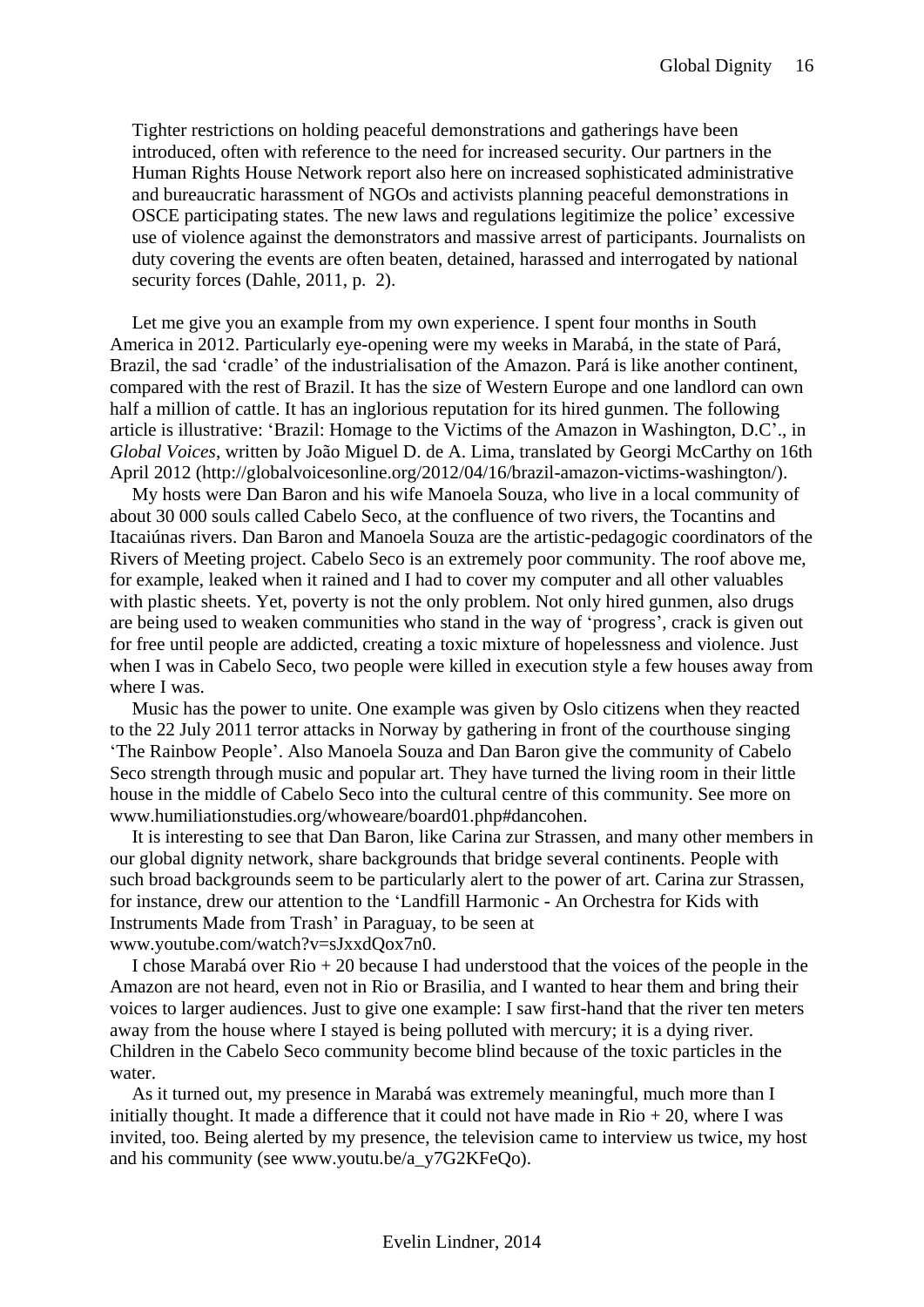Tighter restrictions on holding peaceful demonstrations and gatherings have been introduced, often with reference to the need for increased security. Our partners in the Human Rights House Network report also here on increased sophisticated administrative and bureaucratic harassment of NGOs and activists planning peaceful demonstrations in OSCE participating states. The new laws and regulations legitimize the police' excessive use of violence against the demonstrators and massive arrest of participants. Journalists on duty covering the events are often beaten, detained, harassed and interrogated by national security forces (Dahle, 2011, p. 2).

Let me give you an example from my own experience. I spent four months in South America in 2012. Particularly eye-opening were my weeks in Marabá, in the state of Pará, Brazil, the sad 'cradle' of the industrialisation of the Amazon. Pará is like another continent, compared with the rest of Brazil. It has the size of Western Europe and one landlord can own half a million of cattle. It has an inglorious reputation for its hired gunmen. The following article is illustrative: 'Brazil: Homage to the Victims of the Amazon in Washington, D.C'., in *Global Voices*, written by João Miguel D. de A. Lima, translated by Georgi McCarthy on 16th April 2012 (http://globalvoicesonline.org/2012/04/16/brazil-amazon-victims-washington/).

My hosts were Dan Baron and his wife Manoela Souza, who live in a local community of about 30 000 souls called Cabelo Seco, at the confluence of two rivers, the Tocantins and Itacaiúnas rivers. Dan Baron and Manoela Souza are the artistic-pedagogic coordinators of the Rivers of Meeting project. Cabelo Seco is an extremely poor community. The roof above me, for example, leaked when it rained and I had to cover my computer and all other valuables with plastic sheets. Yet, poverty is not the only problem. Not only hired gunmen, also drugs are being used to weaken communities who stand in the way of 'progress', crack is given out for free until people are addicted, creating a toxic mixture of hopelessness and violence. Just when I was in Cabelo Seco, two people were killed in execution style a few houses away from where I was.

Music has the power to unite. One example was given by Oslo citizens when they reacted to the 22 July 2011 terror attacks in Norway by gathering in front of the courthouse singing 'The Rainbow People'. Also Manoela Souza and Dan Baron give the community of Cabelo Seco strength through music and popular art. They have turned the living room in their little house in the middle of Cabelo Seco into the cultural centre of this community. See more on www.humiliationstudies.org/whoweare/board01.php#dancohen.

It is interesting to see that Dan Baron, like Carina zur Strassen, and many other members in our global dignity network, share backgrounds that bridge several continents. People with such broad backgrounds seem to be particularly alert to the power of art. Carina zur Strassen, for instance, drew our attention to the 'Landfill Harmonic - An Orchestra for Kids with Instruments Made from Trash' in Paraguay, to be seen at www.youtube.com/watch?v=sJxxdQox7n0.

I chose Marabá over Rio + 20 because I had understood that the voices of the people in the Amazon are not heard, even not in Rio or Brasilia, and I wanted to hear them and bring their voices to larger audiences. Just to give one example: I saw first-hand that the river ten meters away from the house where I stayed is being polluted with mercury; it is a dying river. Children in the Cabelo Seco community become blind because of the toxic particles in the water.

As it turned out, my presence in Marabá was extremely meaningful, much more than I initially thought. It made a difference that it could not have made in  $\text{Rio} + 20$ , where I was invited, too. Being alerted by my presence, the television came to interview us twice, my host and his community (see www.youtu.be/a\_y7G2KFeQo).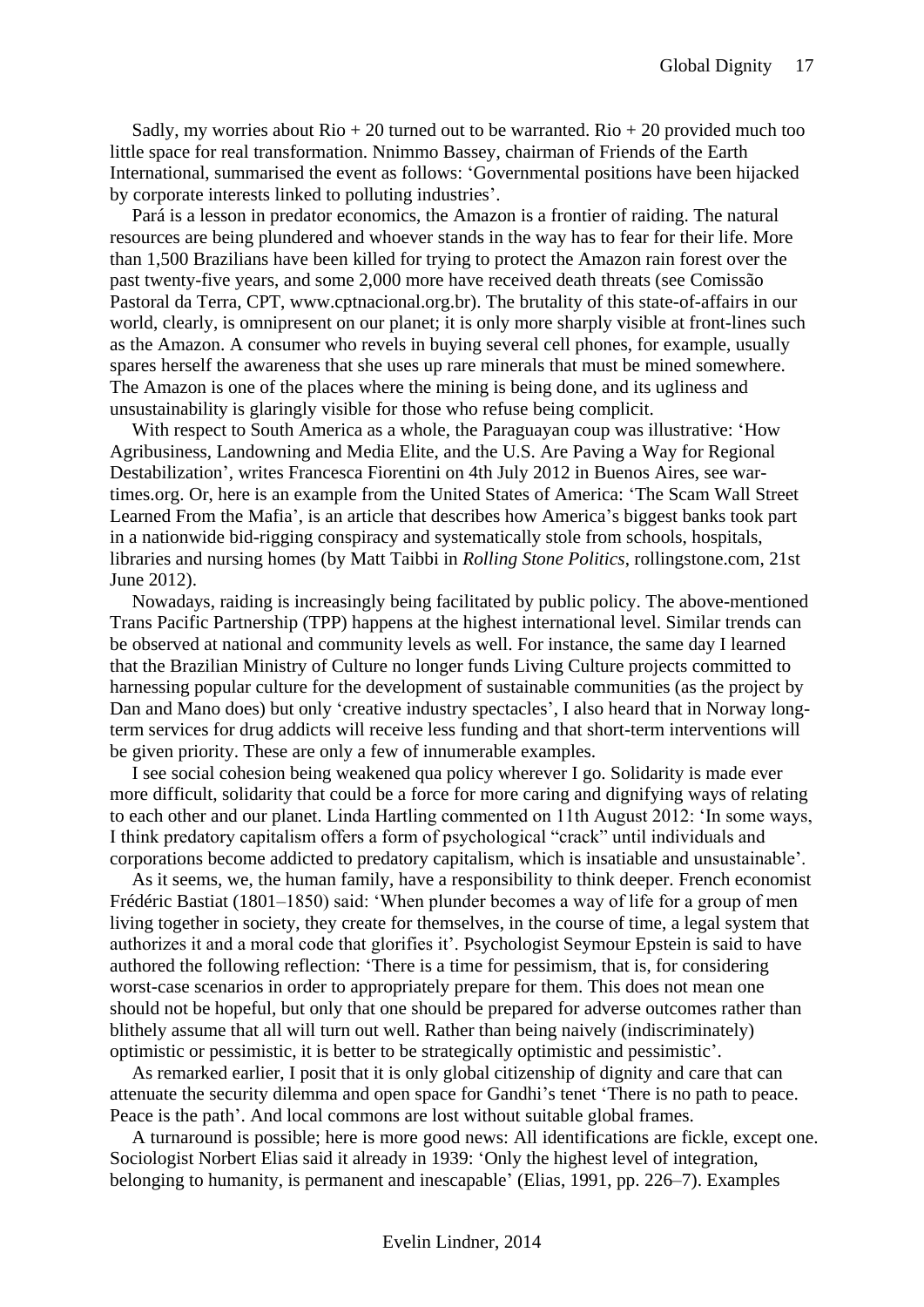Sadly, my worries about  $\text{Rio} + 20$  turned out to be warranted.  $\text{Rio} + 20$  provided much too little space for real transformation. Nnimmo Bassey, chairman of Friends of the Earth International, summarised the event as follows: 'Governmental positions have been hijacked by corporate interests linked to polluting industries'.

Pará is a lesson in predator economics, the Amazon is a frontier of raiding. The natural resources are being plundered and whoever stands in the way has to fear for their life. More than 1,500 Brazilians have been killed for trying to protect the Amazon rain forest over the past twenty-five years, and some 2,000 more have received death threats (see Comissão Pastoral da Terra, CPT, www.cptnacional.org.br). The brutality of this state-of-affairs in our world, clearly, is omnipresent on our planet; it is only more sharply visible at front-lines such as the Amazon. A consumer who revels in buying several cell phones, for example, usually spares herself the awareness that she uses up rare minerals that must be mined somewhere. The Amazon is one of the places where the mining is being done, and its ugliness and unsustainability is glaringly visible for those who refuse being complicit.

With respect to South America as a whole, the Paraguayan coup was illustrative: 'How Agribusiness, Landowning and Media Elite, and the U.S. Are Paving a Way for Regional Destabilization', writes Francesca Fiorentini on 4th July 2012 in Buenos Aires, see wartimes.org. Or, here is an example from the United States of America: 'The Scam Wall Street Learned From the Mafia', is an article that describes how America's biggest banks took part in a nationwide bid-rigging conspiracy and systematically stole from schools, hospitals, libraries and nursing homes (by Matt Taibbi in *Rolling Stone Politics*, rollingstone.com, 21st June 2012).

Nowadays, raiding is increasingly being facilitated by public policy. The above-mentioned Trans Pacific Partnership (TPP) happens at the highest international level. Similar trends can be observed at national and community levels as well. For instance, the same day I learned that the Brazilian Ministry of Culture no longer funds Living Culture projects committed to harnessing popular culture for the development of sustainable communities (as the project by Dan and Mano does) but only 'creative industry spectacles', I also heard that in Norway longterm services for drug addicts will receive less funding and that short-term interventions will be given priority. These are only a few of innumerable examples.

I see social cohesion being weakened qua policy wherever I go. Solidarity is made ever more difficult, solidarity that could be a force for more caring and dignifying ways of relating to each other and our planet. Linda Hartling commented on 11th August 2012: 'In some ways, I think predatory capitalism offers a form of psychological "crack" until individuals and corporations become addicted to predatory capitalism, which is insatiable and unsustainable'.

As it seems, we, the human family, have a responsibility to think deeper. French economist Frédéric Bastiat (1801–1850) said: 'When plunder becomes a way of life for a group of men living together in society, they create for themselves, in the course of time, a legal system that authorizes it and a moral code that glorifies it'. Psychologist Seymour Epstein is said to have authored the following reflection: 'There is a time for pessimism, that is, for considering worst-case scenarios in order to appropriately prepare for them. This does not mean one should not be hopeful, but only that one should be prepared for adverse outcomes rather than blithely assume that all will turn out well. Rather than being naively (indiscriminately) optimistic or pessimistic, it is better to be strategically optimistic and pessimistic'.

As remarked earlier, I posit that it is only global citizenship of dignity and care that can attenuate the security dilemma and open space for Gandhi's tenet 'There is no path to peace. Peace is the path'. And local commons are lost without suitable global frames.

A turnaround is possible; here is more good news: All identifications are fickle, except one. Sociologist Norbert Elias said it already in 1939: 'Only the highest level of integration, belonging to humanity, is permanent and inescapable' (Elias, 1991, pp. 226–7). Examples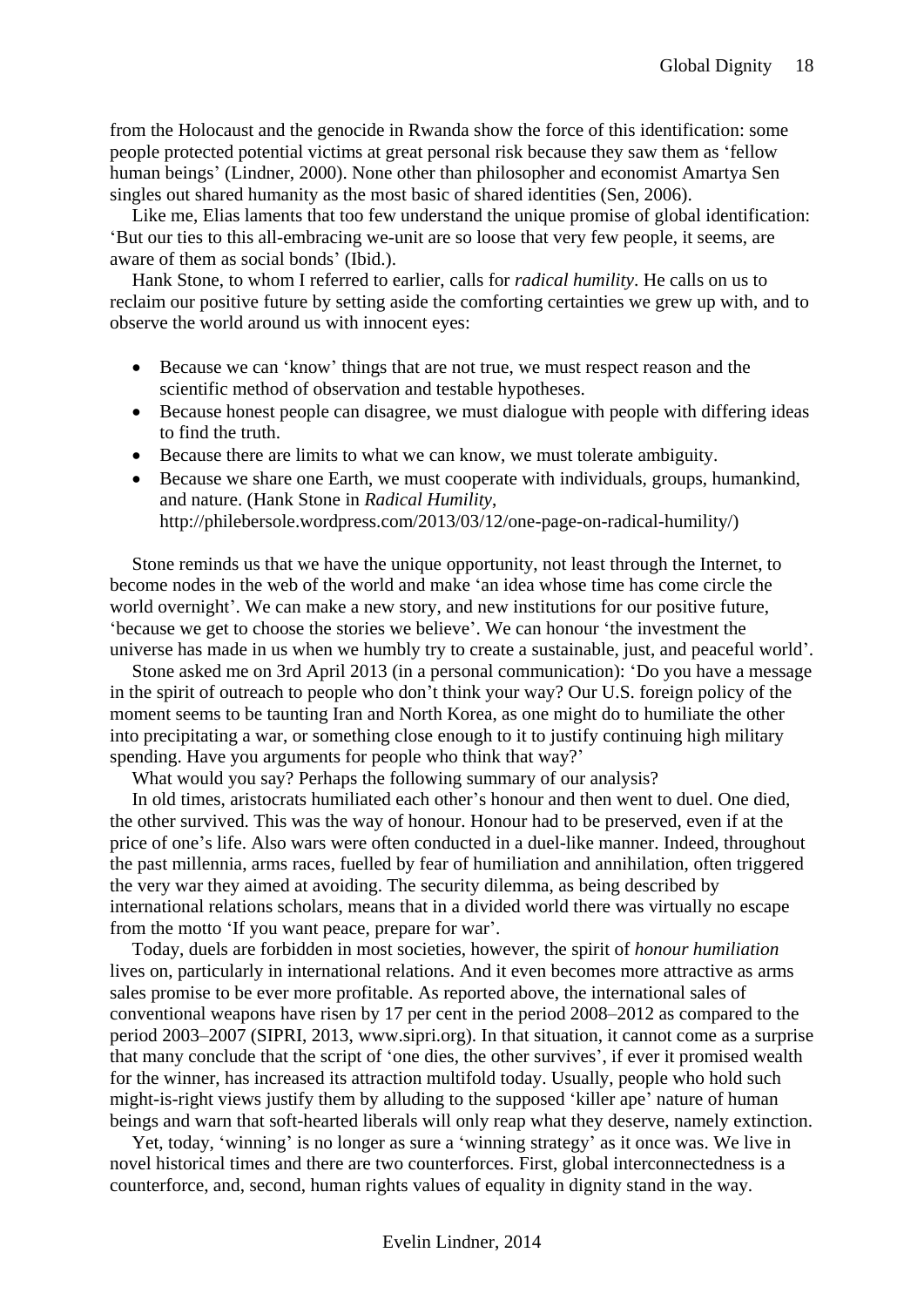from the Holocaust and the genocide in Rwanda show the force of this identification: some people protected potential victims at great personal risk because they saw them as 'fellow human beings' (Lindner, 2000). None other than philosopher and economist Amartya Sen singles out shared humanity as the most basic of shared identities (Sen, 2006).

Like me, Elias laments that too few understand the unique promise of global identification: 'But our ties to this all-embracing we-unit are so loose that very few people, it seems, are aware of them as social bonds' (Ibid.).

Hank Stone, to whom I referred to earlier, calls for *radical humility*. He calls on us to reclaim our positive future by setting aside the comforting certainties we grew up with, and to observe the world around us with innocent eyes:

- Because we can 'know' things that are not true, we must respect reason and the scientific method of observation and testable hypotheses.
- Because honest people can disagree, we must dialogue with people with differing ideas to find the truth.
- Because there are limits to what we can know, we must tolerate ambiguity.
- Because we share one Earth, we must cooperate with individuals, groups, humankind, and nature. (Hank Stone in *Radical Humility*, http://philebersole.wordpress.com/2013/03/12/one-page-on-radical-humility/)

Stone reminds us that we have the unique opportunity, not least through the Internet, to become nodes in the web of the world and make 'an idea whose time has come circle the world overnight'. We can make a new story, and new institutions for our positive future, 'because we get to choose the stories we believe'. We can honour 'the investment the universe has made in us when we humbly try to create a sustainable, just, and peaceful world'.

Stone asked me on 3rd April 2013 (in a personal communication): 'Do you have a message in the spirit of outreach to people who don't think your way? Our U.S. foreign policy of the moment seems to be taunting Iran and North Korea, as one might do to humiliate the other into precipitating a war, or something close enough to it to justify continuing high military spending. Have you arguments for people who think that way?'

What would you say? Perhaps the following summary of our analysis?

In old times, aristocrats humiliated each other's honour and then went to duel. One died, the other survived. This was the way of honour. Honour had to be preserved, even if at the price of one's life. Also wars were often conducted in a duel-like manner. Indeed, throughout the past millennia, arms races, fuelled by fear of humiliation and annihilation, often triggered the very war they aimed at avoiding. The security dilemma, as being described by international relations scholars, means that in a divided world there was virtually no escape from the motto 'If you want peace, prepare for war'.

Today, duels are forbidden in most societies, however, the spirit of *honour humiliation* lives on, particularly in international relations. And it even becomes more attractive as arms sales promise to be ever more profitable. As reported above, the international sales of conventional weapons have risen by 17 per cent in the period 2008–2012 as compared to the period 2003–2007 (SIPRI, 2013, www.sipri.org). In that situation, it cannot come as a surprise that many conclude that the script of 'one dies, the other survives', if ever it promised wealth for the winner, has increased its attraction multifold today. Usually, people who hold such might-is-right views justify them by alluding to the supposed 'killer ape' nature of human beings and warn that soft-hearted liberals will only reap what they deserve, namely extinction.

Yet, today, 'winning' is no longer as sure a 'winning strategy' as it once was. We live in novel historical times and there are two counterforces. First, global interconnectedness is a counterforce, and, second, human rights values of equality in dignity stand in the way.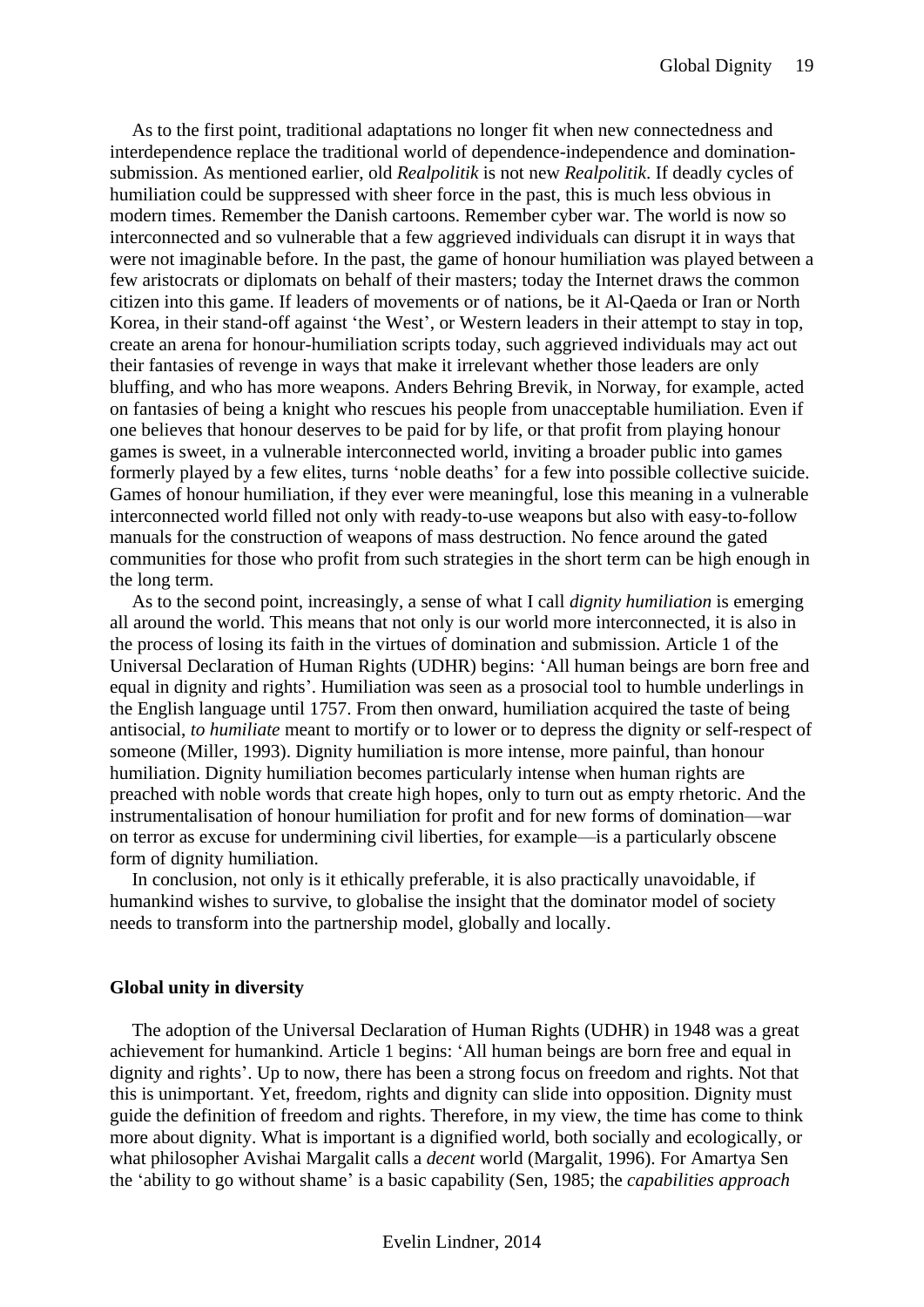As to the first point, traditional adaptations no longer fit when new connectedness and interdependence replace the traditional world of dependence-independence and dominationsubmission. As mentioned earlier, old *Realpolitik* is not new *Realpolitik*. If deadly cycles of humiliation could be suppressed with sheer force in the past, this is much less obvious in modern times. Remember the Danish cartoons. Remember cyber war. The world is now so interconnected and so vulnerable that a few aggrieved individuals can disrupt it in ways that were not imaginable before. In the past, the game of honour humiliation was played between a few aristocrats or diplomats on behalf of their masters; today the Internet draws the common citizen into this game. If leaders of movements or of nations, be it Al-Qaeda or Iran or North Korea, in their stand-off against 'the West', or Western leaders in their attempt to stay in top, create an arena for honour-humiliation scripts today, such aggrieved individuals may act out their fantasies of revenge in ways that make it irrelevant whether those leaders are only bluffing, and who has more weapons. Anders Behring Brevik, in Norway, for example, acted on fantasies of being a knight who rescues his people from unacceptable humiliation. Even if one believes that honour deserves to be paid for by life, or that profit from playing honour games is sweet, in a vulnerable interconnected world, inviting a broader public into games formerly played by a few elites, turns 'noble deaths' for a few into possible collective suicide. Games of honour humiliation, if they ever were meaningful, lose this meaning in a vulnerable interconnected world filled not only with ready-to-use weapons but also with easy-to-follow manuals for the construction of weapons of mass destruction. No fence around the gated communities for those who profit from such strategies in the short term can be high enough in the long term.

As to the second point, increasingly, a sense of what I call *dignity humiliation* is emerging all around the world. This means that not only is our world more interconnected, it is also in the process of losing its faith in the virtues of domination and submission. Article 1 of the Universal Declaration of Human Rights (UDHR) begins: 'All human beings are born free and equal in dignity and rights'. Humiliation was seen as a prosocial tool to humble underlings in the English language until 1757. From then onward, humiliation acquired the taste of being antisocial, *to humiliate* meant to mortify or to lower or to depress the dignity or self-respect of someone (Miller, 1993). Dignity humiliation is more intense, more painful, than honour humiliation. Dignity humiliation becomes particularly intense when human rights are preached with noble words that create high hopes, only to turn out as empty rhetoric. And the instrumentalisation of honour humiliation for profit and for new forms of domination—war on terror as excuse for undermining civil liberties, for example—is a particularly obscene form of dignity humiliation.

In conclusion, not only is it ethically preferable, it is also practically unavoidable, if humankind wishes to survive, to globalise the insight that the dominator model of society needs to transform into the partnership model, globally and locally.

#### <span id="page-18-0"></span>**Global unity in diversity**

The adoption of the Universal Declaration of Human Rights (UDHR) in 1948 was a great achievement for humankind. Article 1 begins: 'All human beings are born free and equal in dignity and rights'. Up to now, there has been a strong focus on freedom and rights. Not that this is unimportant. Yet, freedom, rights and dignity can slide into opposition. Dignity must guide the definition of freedom and rights. Therefore, in my view, the time has come to think more about dignity. What is important is a dignified world, both socially and ecologically, or what philosopher Avishai Margalit calls a *decent* world (Margalit, 1996). For Amartya Sen the 'ability to go without shame' is a basic capability (Sen, 1985; the *capabilities approach*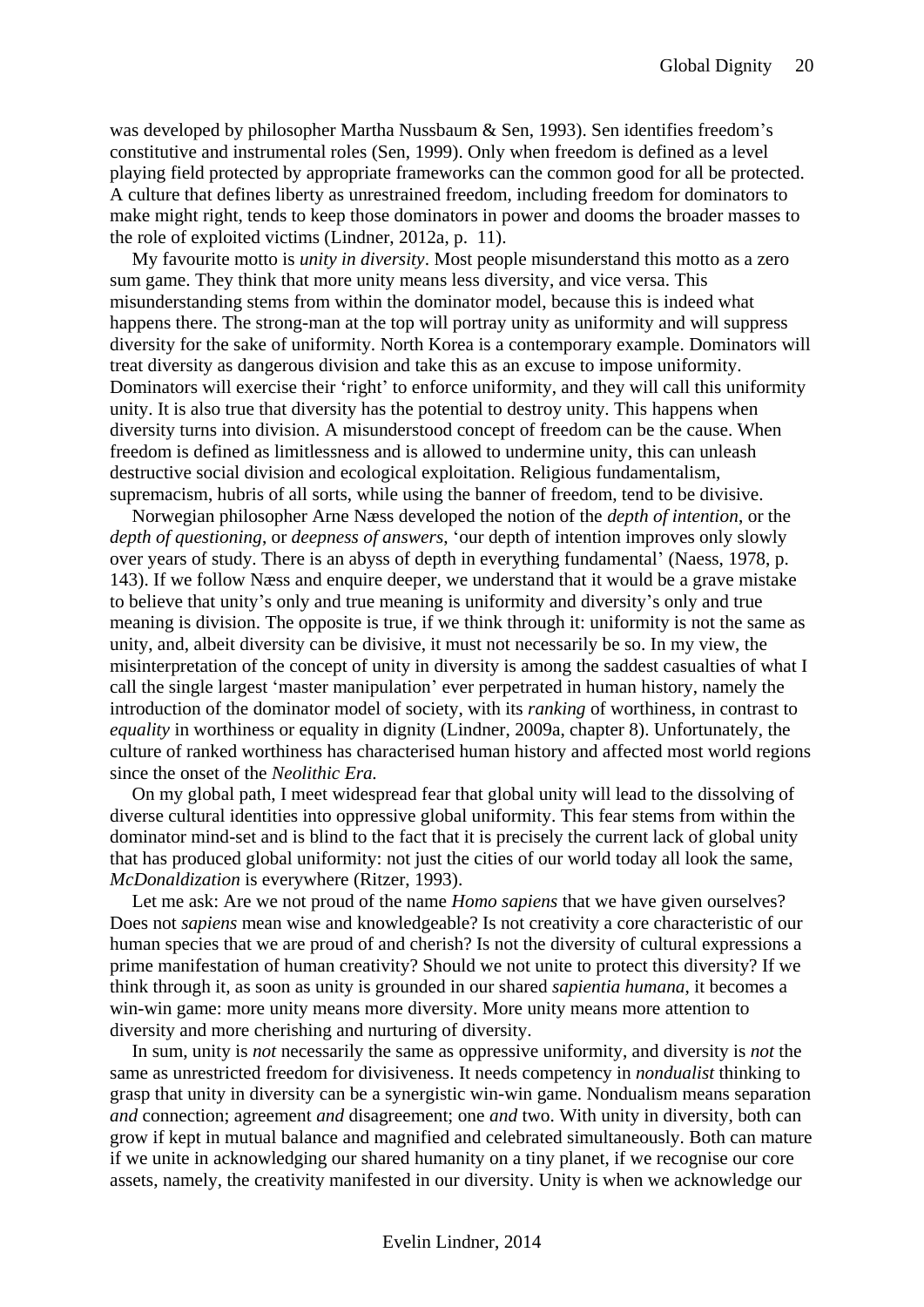was developed by philosopher Martha Nussbaum & Sen, 1993). Sen identifies freedom's constitutive and instrumental roles (Sen, 1999). Only when freedom is defined as a level playing field protected by appropriate frameworks can the common good for all be protected. A culture that defines liberty as unrestrained freedom, including freedom for dominators to make might right, tends to keep those dominators in power and dooms the broader masses to the role of exploited victims (Lindner, 2012a, p. 11).

My favourite motto is *unity in diversity*. Most people misunderstand this motto as a zero sum game. They think that more unity means less diversity, and vice versa. This misunderstanding stems from within the dominator model, because this is indeed what happens there. The strong-man at the top will portray unity as uniformity and will suppress diversity for the sake of uniformity. North Korea is a contemporary example. Dominators will treat diversity as dangerous division and take this as an excuse to impose uniformity. Dominators will exercise their 'right' to enforce uniformity, and they will call this uniformity unity. It is also true that diversity has the potential to destroy unity. This happens when diversity turns into division. A misunderstood concept of freedom can be the cause. When freedom is defined as limitlessness and is allowed to undermine unity, this can unleash destructive social division and ecological exploitation. Religious fundamentalism, supremacism, hubris of all sorts, while using the banner of freedom, tend to be divisive.

Norwegian philosopher Arne Næss developed the notion of the *depth of intention*, or the *depth of questioning*, or *deepness of answers*, 'our depth of intention improves only slowly over years of study. There is an abyss of depth in everything fundamental' (Naess, 1978, p. 143). If we follow Næss and enquire deeper, we understand that it would be a grave mistake to believe that unity's only and true meaning is uniformity and diversity's only and true meaning is division. The opposite is true, if we think through it: uniformity is not the same as unity, and, albeit diversity can be divisive, it must not necessarily be so. In my view, the misinterpretation of the concept of unity in diversity is among the saddest casualties of what I call the single largest 'master manipulation' ever perpetrated in human history, namely the introduction of the dominator model of society, with its *ranking* of worthiness, in contrast to *equality* in worthiness or equality in dignity (Lindner, 2009a, chapter 8). Unfortunately, the culture of ranked worthiness has characterised human history and affected most world regions since the onset of the *Neolithic Era.*

On my global path, I meet widespread fear that global unity will lead to the dissolving of diverse cultural identities into oppressive global uniformity. This fear stems from within the dominator mind-set and is blind to the fact that it is precisely the current lack of global unity that has produced global uniformity: not just the cities of our world today all look the same, *McDonaldization* is everywhere (Ritzer, 1993).

Let me ask: Are we not proud of the name *Homo sapiens* that we have given ourselves? Does not *sapiens* mean wise and knowledgeable? Is not creativity a core characteristic of our human species that we are proud of and cherish? Is not the diversity of cultural expressions a prime manifestation of human creativity? Should we not unite to protect this diversity? If we think through it, as soon as unity is grounded in our shared *sapientia humana*, it becomes a win-win game: more unity means more diversity. More unity means more attention to diversity and more cherishing and nurturing of diversity.

In sum, unity is *not* necessarily the same as oppressive uniformity, and diversity is *not* the same as unrestricted freedom for divisiveness. It needs competency in *nondualist* thinking to grasp that unity in diversity can be a synergistic win-win game. Nondualism means separation *and* connection; agreement *and* disagreement; one *and* two. With unity in diversity, both can grow if kept in mutual balance and magnified and celebrated simultaneously. Both can mature if we unite in acknowledging our shared humanity on a tiny planet, if we recognise our core assets, namely, the creativity manifested in our diversity. Unity is when we acknowledge our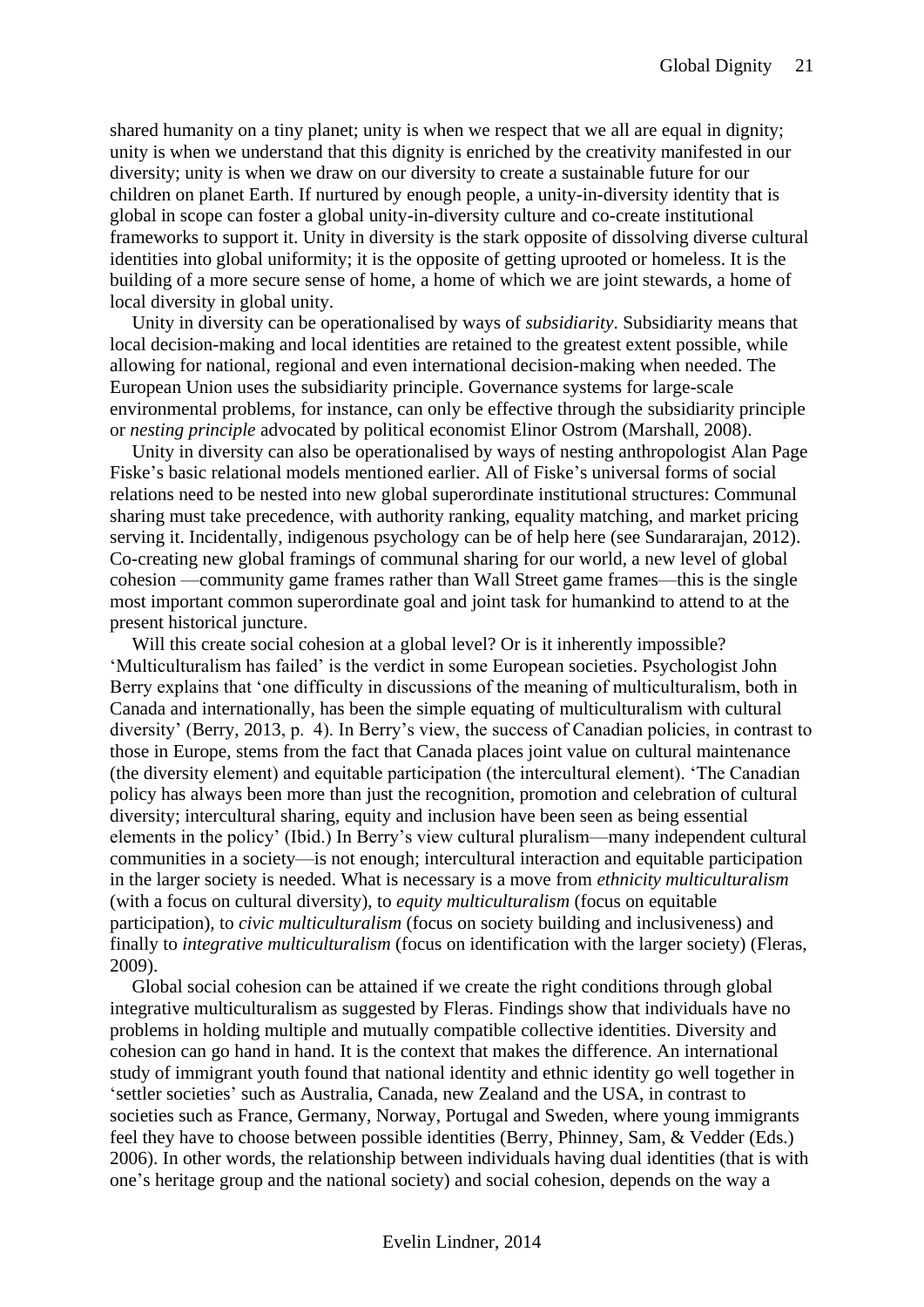shared humanity on a tiny planet; unity is when we respect that we all are equal in dignity; unity is when we understand that this dignity is enriched by the creativity manifested in our diversity; unity is when we draw on our diversity to create a sustainable future for our children on planet Earth. If nurtured by enough people, a unity-in-diversity identity that is global in scope can foster a global unity-in-diversity culture and co-create institutional frameworks to support it. Unity in diversity is the stark opposite of dissolving diverse cultural identities into global uniformity; it is the opposite of getting uprooted or homeless. It is the building of a more secure sense of home, a home of which we are joint stewards, a home of local diversity in global unity.

Unity in diversity can be operationalised by ways of *subsidiarity*. Subsidiarity means that local decision-making and local identities are retained to the greatest extent possible, while allowing for national, regional and even international decision-making when needed. The European Union uses the subsidiarity principle. Governance systems for large-scale environmental problems, for instance, can only be effective through the subsidiarity principle or *nesting principle* advocated by political economist Elinor Ostrom (Marshall, 2008).

Unity in diversity can also be operationalised by ways of nesting anthropologist Alan Page Fiske's basic relational models mentioned earlier. All of Fiske's universal forms of social relations need to be nested into new global superordinate institutional structures: Communal sharing must take precedence, with authority ranking, equality matching, and market pricing serving it. Incidentally, indigenous psychology can be of help here (see Sundararajan, 2012). Co-creating new global framings of communal sharing for our world, a new level of global cohesion —community game frames rather than Wall Street game frames—this is the single most important common superordinate goal and joint task for humankind to attend to at the present historical juncture.

Will this create social cohesion at a global level? Or is it inherently impossible? 'Multiculturalism has failed' is the verdict in some European societies. Psychologist John Berry explains that 'one difficulty in discussions of the meaning of multiculturalism, both in Canada and internationally, has been the simple equating of multiculturalism with cultural diversity' (Berry, 2013, p. 4). In Berry's view, the success of Canadian policies, in contrast to those in Europe, stems from the fact that Canada places joint value on cultural maintenance (the diversity element) and equitable participation (the intercultural element). 'The Canadian policy has always been more than just the recognition, promotion and celebration of cultural diversity; intercultural sharing, equity and inclusion have been seen as being essential elements in the policy' (Ibid.) In Berry's view cultural pluralism—many independent cultural communities in a society—is not enough; intercultural interaction and equitable participation in the larger society is needed. What is necessary is a move from *ethnicity multiculturalism* (with a focus on cultural diversity), to *equity multiculturalism* (focus on equitable participation), to *civic multiculturalism* (focus on society building and inclusiveness) and finally to *integrative multiculturalism* (focus on identification with the larger society) (Fleras, 2009).

Global social cohesion can be attained if we create the right conditions through global integrative multiculturalism as suggested by Fleras. Findings show that individuals have no problems in holding multiple and mutually compatible collective identities. Diversity and cohesion can go hand in hand. It is the context that makes the difference. An international study of immigrant youth found that national identity and ethnic identity go well together in 'settler societies' such as Australia, Canada, new Zealand and the USA, in contrast to societies such as France, Germany, Norway, Portugal and Sweden, where young immigrants feel they have to choose between possible identities (Berry, Phinney, Sam, & Vedder (Eds.) 2006). In other words, the relationship between individuals having dual identities (that is with one's heritage group and the national society) and social cohesion, depends on the way a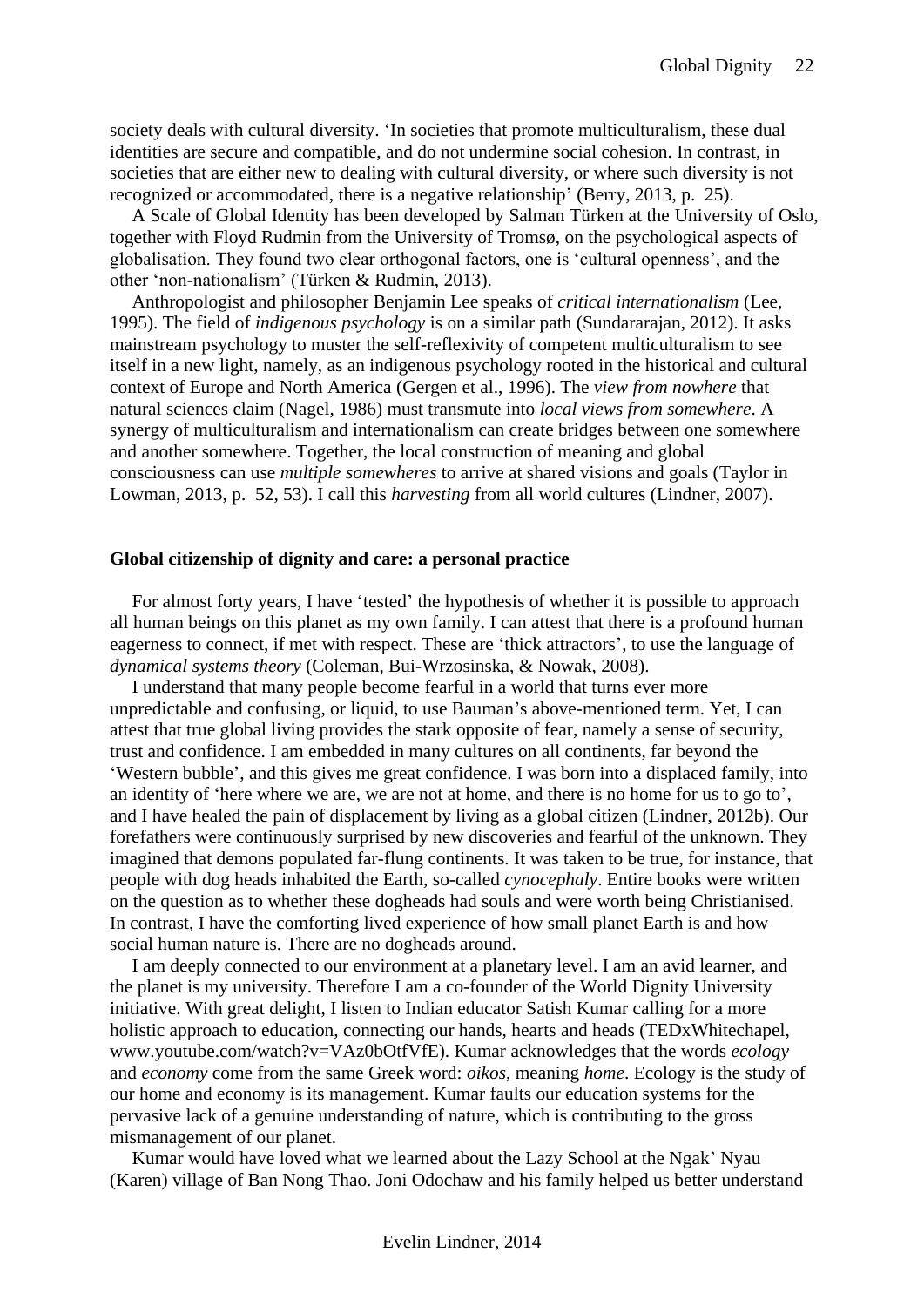society deals with cultural diversity. 'In societies that promote multiculturalism, these dual identities are secure and compatible, and do not undermine social cohesion. In contrast, in societies that are either new to dealing with cultural diversity, or where such diversity is not recognized or accommodated, there is a negative relationship' (Berry, 2013, p. 25).

A Scale of Global Identity has been developed by Salman Türken at the University of Oslo, together with Floyd Rudmin from the University of Tromsø, on the psychological aspects of globalisation. They found two clear orthogonal factors, one is 'cultural openness', and the other 'non-nationalism' (Türken & Rudmin, 2013).

Anthropologist and philosopher Benjamin Lee speaks of *critical internationalism* (Lee, 1995). The field of *indigenous psychology* is on a similar path (Sundararajan, 2012). It asks mainstream psychology to muster the self-reflexivity of competent multiculturalism to see itself in a new light, namely, as an indigenous psychology rooted in the historical and cultural context of Europe and North America (Gergen et al., 1996). The *view from nowhere* that natural sciences claim (Nagel, 1986) must transmute into *local views from somewhere*. A synergy of multiculturalism and internationalism can create bridges between one somewhere and another somewhere. Together, the local construction of meaning and global consciousness can use *multiple somewheres* to arrive at shared visions and goals (Taylor in Lowman, 2013, p. 52, 53). I call this *harvesting* from all world cultures (Lindner, 2007).

#### <span id="page-21-0"></span>**Global citizenship of dignity and care: a personal practice**

For almost forty years, I have 'tested' the hypothesis of whether it is possible to approach all human beings on this planet as my own family. I can attest that there is a profound human eagerness to connect, if met with respect. These are 'thick attractors', to use the language of *dynamical systems theory* (Coleman, Bui-Wrzosinska, & Nowak, 2008).

I understand that many people become fearful in a world that turns ever more unpredictable and confusing, or liquid, to use Bauman's above-mentioned term. Yet, I can attest that true global living provides the stark opposite of fear, namely a sense of security, trust and confidence. I am embedded in many cultures on all continents, far beyond the 'Western bubble', and this gives me great confidence. I was born into a displaced family, into an identity of 'here where we are, we are not at home, and there is no home for us to go to', and I have healed the pain of displacement by living as a global citizen (Lindner, 2012b). Our forefathers were continuously surprised by new discoveries and fearful of the unknown. They imagined that demons populated far-flung continents. It was taken to be true, for instance, that people with dog heads inhabited the Earth, so-called *cynocephaly*. Entire books were written on the question as to whether these dogheads had souls and were worth being Christianised. In contrast, I have the comforting lived experience of how small planet Earth is and how social human nature is. There are no dogheads around.

I am deeply connected to our environment at a planetary level. I am an avid learner, and the planet is my university. Therefore I am a co-founder of the World Dignity University initiative. With great delight, I listen to Indian educator Satish Kumar calling for a more holistic approach to education, connecting our hands, hearts and heads (TEDxWhitechapel, www.youtube.com/watch?v=VAz0bOtfVfE). Kumar acknowledges that the words *ecology* and *economy* come from the same Greek word: *oikos*, meaning *home*. Ecology is the study of our home and economy is its management. Kumar faults our education systems for the pervasive lack of a genuine understanding of nature, which is contributing to the gross mismanagement of our planet.

Kumar would have loved what we learned about the Lazy School at the Ngak' Nyau (Karen) village of Ban Nong Thao. Joni Odochaw and his family helped us better understand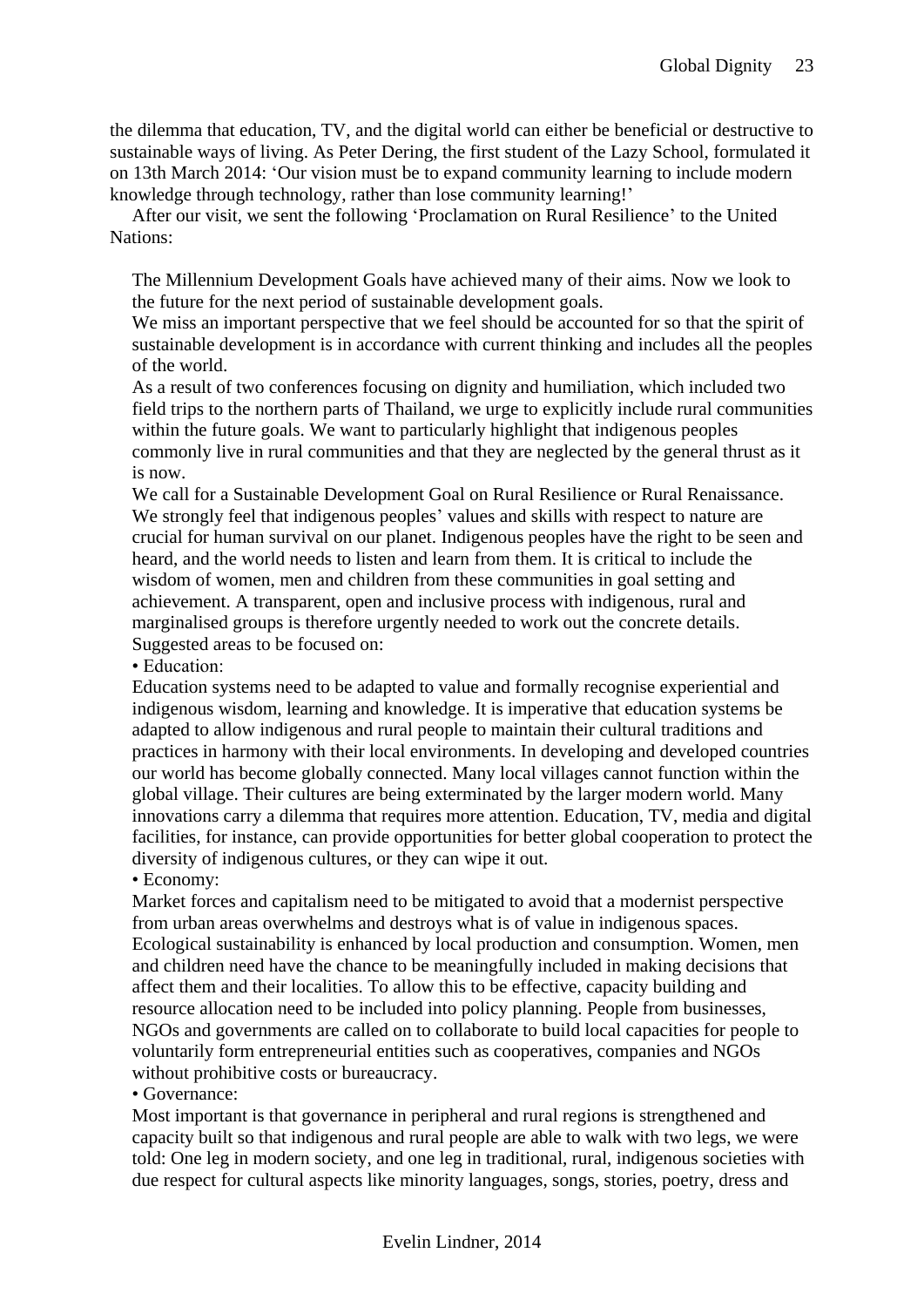the dilemma that education, TV, and the digital world can either be beneficial or destructive to sustainable ways of living. As Peter Dering, the first student of the Lazy School, formulated it on 13th March 2014: 'Our vision must be to expand community learning to include modern knowledge through technology, rather than lose community learning!'

After our visit, we sent the following 'Proclamation on Rural Resilience' to the United Nations:

The Millennium Development Goals have achieved many of their aims. Now we look to the future for the next period of sustainable development goals.

We miss an important perspective that we feel should be accounted for so that the spirit of sustainable development is in accordance with current thinking and includes all the peoples of the world.

As a result of two conferences focusing on dignity and humiliation, which included two field trips to the northern parts of Thailand, we urge to explicitly include rural communities within the future goals. We want to particularly highlight that indigenous peoples commonly live in rural communities and that they are neglected by the general thrust as it is now.

We call for a Sustainable Development Goal on Rural Resilience or Rural Renaissance. We strongly feel that indigenous peoples' values and skills with respect to nature are crucial for human survival on our planet. Indigenous peoples have the right to be seen and heard, and the world needs to listen and learn from them. It is critical to include the wisdom of women, men and children from these communities in goal setting and achievement. A transparent, open and inclusive process with indigenous, rural and marginalised groups is therefore urgently needed to work out the concrete details. Suggested areas to be focused on:

• Education:

Education systems need to be adapted to value and formally recognise experiential and indigenous wisdom, learning and knowledge. It is imperative that education systems be adapted to allow indigenous and rural people to maintain their cultural traditions and practices in harmony with their local environments. In developing and developed countries our world has become globally connected. Many local villages cannot function within the global village. Their cultures are being exterminated by the larger modern world. Many innovations carry a dilemma that requires more attention. Education, TV, media and digital facilities, for instance, can provide opportunities for better global cooperation to protect the diversity of indigenous cultures, or they can wipe it out.

• Economy:

Market forces and capitalism need to be mitigated to avoid that a modernist perspective from urban areas overwhelms and destroys what is of value in indigenous spaces. Ecological sustainability is enhanced by local production and consumption. Women, men and children need have the chance to be meaningfully included in making decisions that affect them and their localities. To allow this to be effective, capacity building and resource allocation need to be included into policy planning. People from businesses, NGOs and governments are called on to collaborate to build local capacities for people to voluntarily form entrepreneurial entities such as cooperatives, companies and NGOs without prohibitive costs or bureaucracy.

• Governance:

Most important is that governance in peripheral and rural regions is strengthened and capacity built so that indigenous and rural people are able to walk with two legs, we were told: One leg in modern society, and one leg in traditional, rural, indigenous societies with due respect for cultural aspects like minority languages, songs, stories, poetry, dress and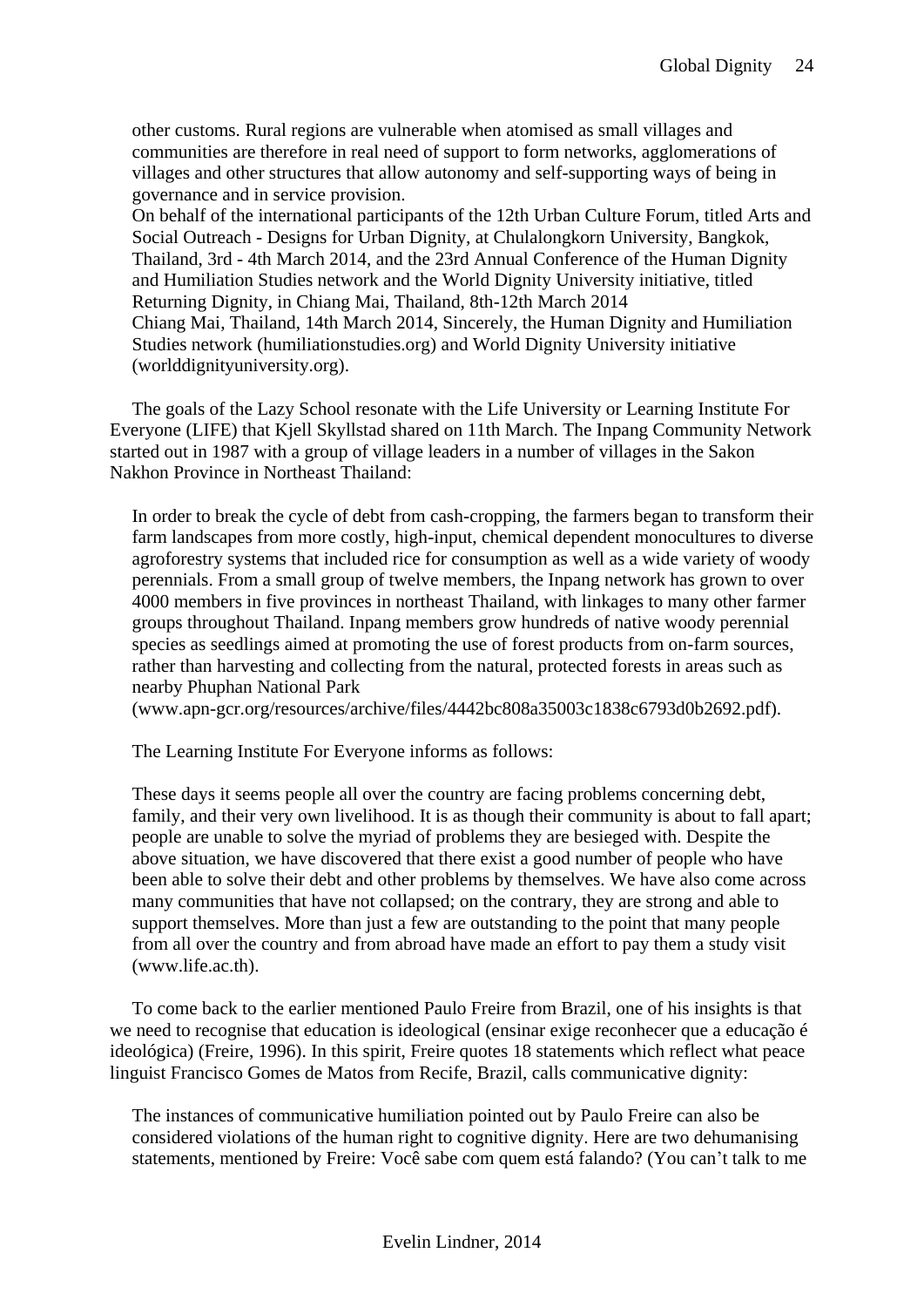other customs. Rural regions are vulnerable when atomised as small villages and communities are therefore in real need of support to form networks, agglomerations of villages and other structures that allow autonomy and self-supporting ways of being in governance and in service provision.

On behalf of the international participants of the 12th Urban Culture Forum, titled Arts and Social Outreach - Designs for Urban Dignity, at Chulalongkorn University, Bangkok, Thailand, 3rd - 4th March 2014, and the 23rd Annual Conference of the Human Dignity and Humiliation Studies network and the World Dignity University initiative, titled Returning Dignity, in Chiang Mai, Thailand, 8th-12th March 2014 Chiang Mai, Thailand, 14th March 2014, Sincerely, the Human Dignity and Humiliation Studies network (humiliationstudies.org) and World Dignity University initiative (worlddignityuniversity.org).

The goals of the Lazy School resonate with the Life University or Learning Institute For Everyone (LIFE) that Kjell Skyllstad shared on 11th March. The Inpang Community Network started out in 1987 with a group of village leaders in a number of villages in the Sakon Nakhon Province in Northeast Thailand:

In order to break the cycle of debt from cash-cropping, the farmers began to transform their farm landscapes from more costly, high-input, chemical dependent monocultures to diverse agroforestry systems that included rice for consumption as well as a wide variety of woody perennials. From a small group of twelve members, the Inpang network has grown to over 4000 members in five provinces in northeast Thailand, with linkages to many other farmer groups throughout Thailand. Inpang members grow hundreds of native woody perennial species as seedlings aimed at promoting the use of forest products from on-farm sources, rather than harvesting and collecting from the natural, protected forests in areas such as nearby Phuphan National Park

(www.apn-gcr.org/resources/archive/files/4442bc808a35003c1838c6793d0b2692.pdf).

The Learning Institute For Everyone informs as follows:

These days it seems people all over the country are facing problems concerning debt, family, and their very own livelihood. It is as though their community is about to fall apart; people are unable to solve the myriad of problems they are besieged with. Despite the above situation, we have discovered that there exist a good number of people who have been able to solve their debt and other problems by themselves. We have also come across many communities that have not collapsed; on the contrary, they are strong and able to support themselves. More than just a few are outstanding to the point that many people from all over the country and from abroad have made an effort to pay them a study visit (www.life.ac.th).

To come back to the earlier mentioned Paulo Freire from Brazil, one of his insights is that we need to recognise that education is ideological (ensinar exige reconhecer que a educação é ideológica) (Freire, 1996). In this spirit, Freire quotes 18 statements which reflect what peace linguist Francisco Gomes de Matos from Recife, Brazil, calls communicative dignity:

The instances of communicative humiliation pointed out by Paulo Freire can also be considered violations of the human right to cognitive dignity. Here are two dehumanising statements, mentioned by Freire: Você sabe com quem está falando? (You can't talk to me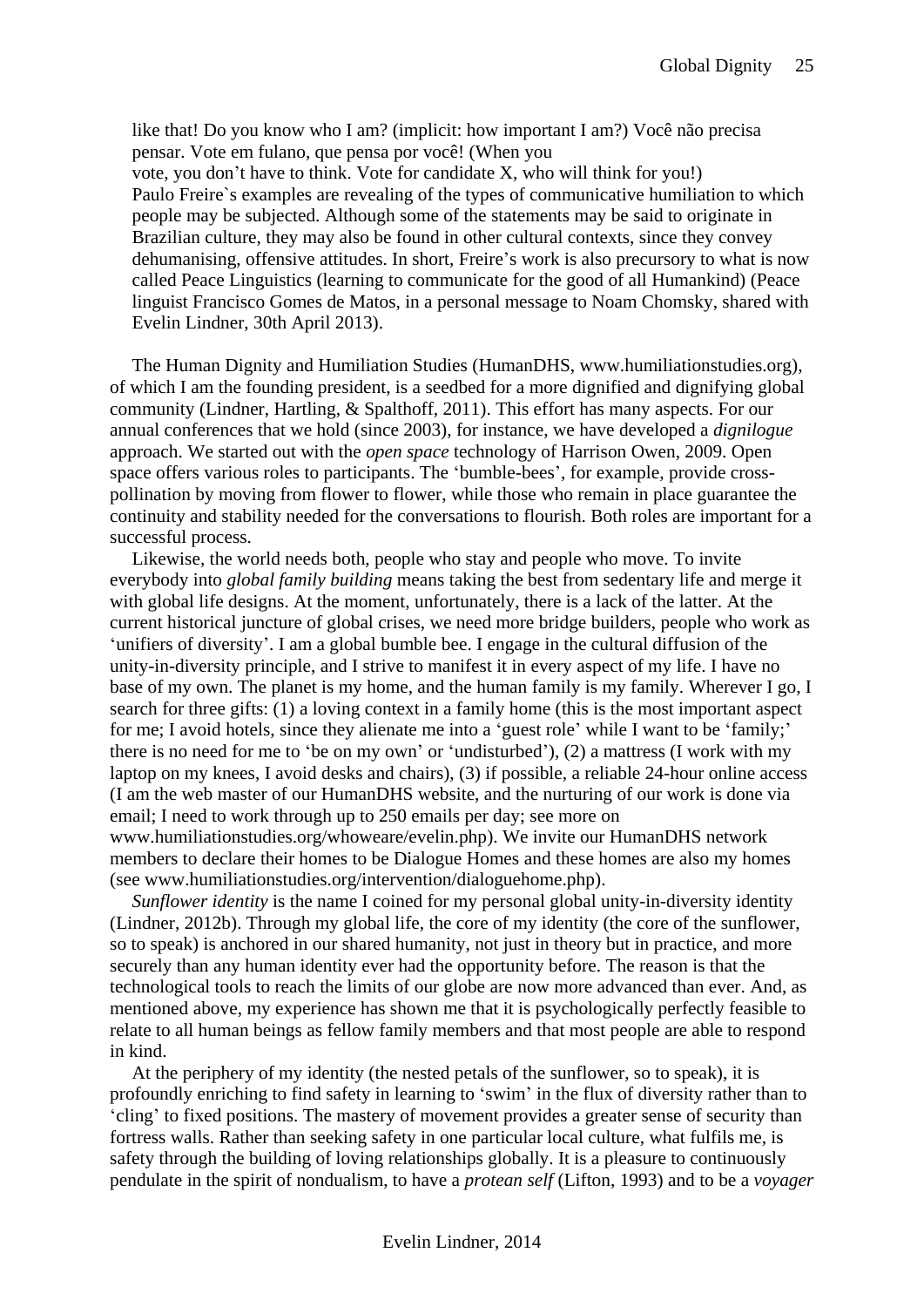like that! Do you know who I am? (implicit: how important I am?) Você não precisa pensar. Vote em fulano, que pensa por você! (When you vote, you don't have to think. Vote for candidate X, who will think for you!) Paulo Freire`s examples are revealing of the types of communicative humiliation to which people may be subjected. Although some of the statements may be said to originate in Brazilian culture, they may also be found in other cultural contexts, since they convey dehumanising, offensive attitudes. In short, Freire's work is also precursory to what is now called Peace Linguistics (learning to communicate for the good of all Humankind) (Peace linguist Francisco Gomes de Matos, in a personal message to Noam Chomsky, shared with Evelin Lindner, 30th April 2013).

The Human Dignity and Humiliation Studies (HumanDHS, www.humiliationstudies.org), of which I am the founding president, is a seedbed for a more dignified and dignifying global community (Lindner, Hartling, & Spalthoff, 2011). This effort has many aspects. For our annual conferences that we hold (since 2003), for instance, we have developed a *dignilogue* approach. We started out with the *open space* technology of Harrison Owen, 2009. Open space offers various roles to participants. The 'bumble-bees', for example, provide crosspollination by moving from flower to flower, while those who remain in place guarantee the continuity and stability needed for the conversations to flourish. Both roles are important for a successful process.

Likewise, the world needs both, people who stay and people who move. To invite everybody into *global family building* means taking the best from sedentary life and merge it with global life designs. At the moment, unfortunately, there is a lack of the latter. At the current historical juncture of global crises, we need more bridge builders, people who work as 'unifiers of diversity'. I am a global bumble bee. I engage in the cultural diffusion of the unity-in-diversity principle, and I strive to manifest it in every aspect of my life. I have no base of my own. The planet is my home, and the human family is my family. Wherever I go, I search for three gifts: (1) a loving context in a family home (this is the most important aspect for me; I avoid hotels, since they alienate me into a 'guest role' while I want to be 'family;' there is no need for me to 'be on my own' or 'undisturbed'), (2) a mattress (I work with my laptop on my knees, I avoid desks and chairs), (3) if possible, a reliable 24-hour online access (I am the web master of our HumanDHS website, and the nurturing of our work is done via email; I need to work through up to 250 emails per day; see more on www.humiliationstudies.org/whoweare/evelin.php). We invite our HumanDHS network members to declare their homes to be Dialogue Homes and these homes are also my homes (see www.humiliationstudies.org/intervention/dialoguehome.php).

*Sunflower identity* is the name I coined for my personal global unity-in-diversity identity (Lindner, 2012b). Through my global life, the core of my identity (the core of the sunflower, so to speak) is anchored in our shared humanity, not just in theory but in practice, and more securely than any human identity ever had the opportunity before. The reason is that the technological tools to reach the limits of our globe are now more advanced than ever. And, as mentioned above, my experience has shown me that it is psychologically perfectly feasible to relate to all human beings as fellow family members and that most people are able to respond in kind.

At the periphery of my identity (the nested petals of the sunflower, so to speak), it is profoundly enriching to find safety in learning to 'swim' in the flux of diversity rather than to 'cling' to fixed positions. The mastery of movement provides a greater sense of security than fortress walls. Rather than seeking safety in one particular local culture, what fulfils me, is safety through the building of loving relationships globally. It is a pleasure to continuously pendulate in the spirit of nondualism, to have a *protean self* (Lifton, 1993) and to be a *voyager*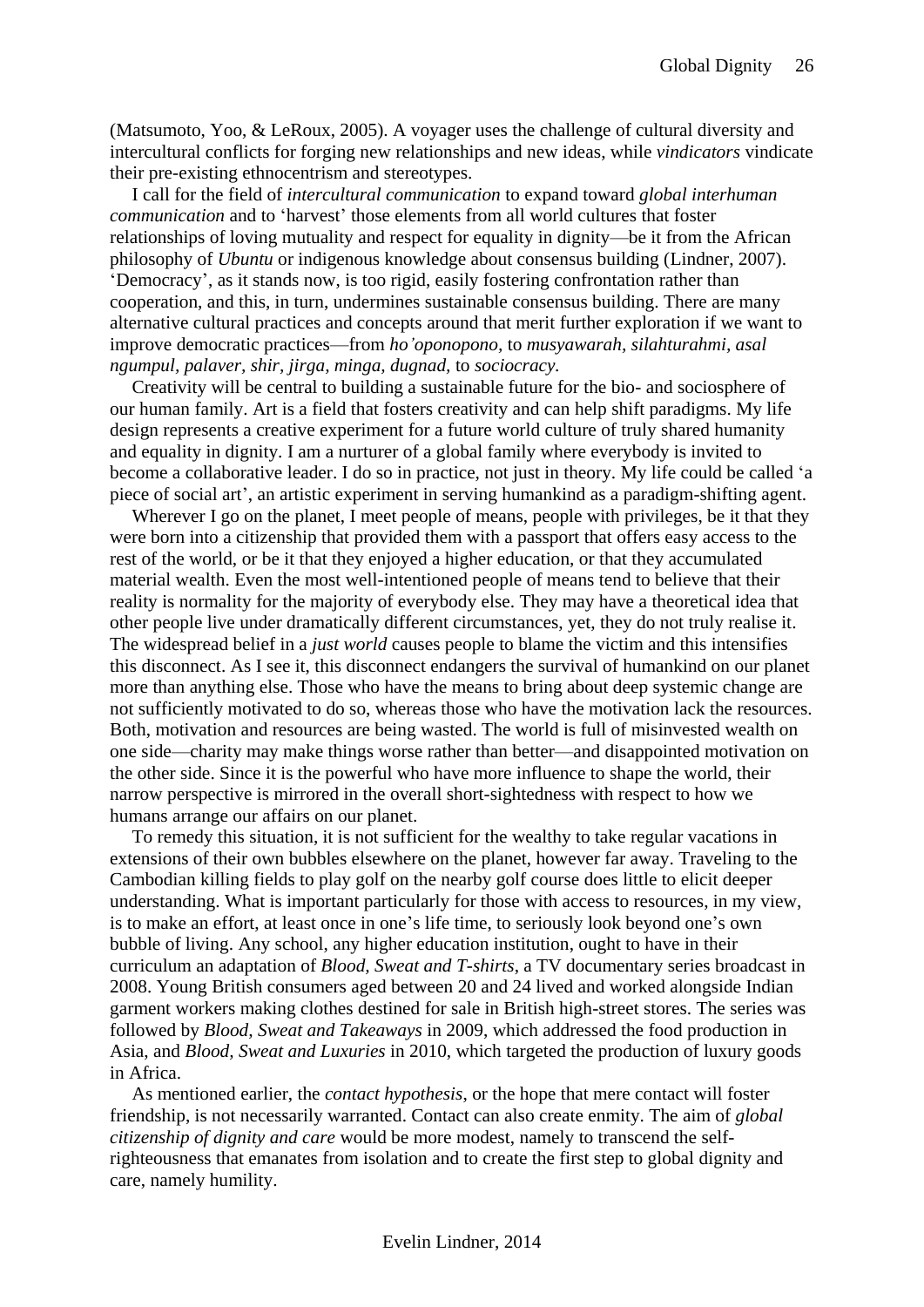(Matsumoto, Yoo, & LeRoux, 2005). A voyager uses the challenge of cultural diversity and intercultural conflicts for forging new relationships and new ideas, while *vindicators* vindicate their pre-existing ethnocentrism and stereotypes.

I call for the field of *intercultural communication* to expand toward *global interhuman communication* and to 'harvest' those elements from all world cultures that foster relationships of loving mutuality and respect for equality in dignity—be it from the African philosophy of *Ubuntu* or indigenous knowledge about consensus building (Lindner, 2007). 'Democracy', as it stands now, is too rigid, easily fostering confrontation rather than cooperation, and this, in turn, undermines sustainable consensus building. There are many alternative cultural practices and concepts around that merit further exploration if we want to improve democratic practices—from *ho'oponopono,* to *musyawarah, silahturahmi, asal ngumpul, palaver, shir, jirga, minga, dugnad,* to *sociocracy.*

Creativity will be central to building a sustainable future for the bio- and sociosphere of our human family. Art is a field that fosters creativity and can help shift paradigms. My life design represents a creative experiment for a future world culture of truly shared humanity and equality in dignity. I am a nurturer of a global family where everybody is invited to become a collaborative leader. I do so in practice, not just in theory. My life could be called 'a piece of social art', an artistic experiment in serving humankind as a paradigm-shifting agent.

Wherever I go on the planet, I meet people of means, people with privileges, be it that they were born into a citizenship that provided them with a passport that offers easy access to the rest of the world, or be it that they enjoyed a higher education, or that they accumulated material wealth. Even the most well-intentioned people of means tend to believe that their reality is normality for the majority of everybody else. They may have a theoretical idea that other people live under dramatically different circumstances, yet, they do not truly realise it. The widespread belief in a *just world* causes people to blame the victim and this intensifies this disconnect. As I see it, this disconnect endangers the survival of humankind on our planet more than anything else. Those who have the means to bring about deep systemic change are not sufficiently motivated to do so, whereas those who have the motivation lack the resources. Both, motivation and resources are being wasted. The world is full of misinvested wealth on one side—charity may make things worse rather than better—and disappointed motivation on the other side. Since it is the powerful who have more influence to shape the world, their narrow perspective is mirrored in the overall short-sightedness with respect to how we humans arrange our affairs on our planet.

To remedy this situation, it is not sufficient for the wealthy to take regular vacations in extensions of their own bubbles elsewhere on the planet, however far away. Traveling to the Cambodian killing fields to play golf on the nearby golf course does little to elicit deeper understanding. What is important particularly for those with access to resources, in my view, is to make an effort, at least once in one's life time, to seriously look beyond one's own bubble of living. Any school, any higher education institution, ought to have in their curriculum an adaptation of *Blood, Sweat and T-shirts*, a TV documentary series broadcast in 2008. Young British consumers aged between 20 and 24 lived and worked alongside Indian garment workers making clothes destined for sale in British high-street stores. The series was followed by *Blood, Sweat and Takeaways* in 2009, which addressed the food production in Asia, and *Blood, Sweat and Luxuries* in 2010, which targeted the production of luxury goods in Africa.

As mentioned earlier, the *contact hypothesis*, or the hope that mere contact will foster friendship, is not necessarily warranted. Contact can also create enmity. The aim of *global citizenship of dignity and care* would be more modest, namely to transcend the selfrighteousness that emanates from isolation and to create the first step to global dignity and care, namely humility.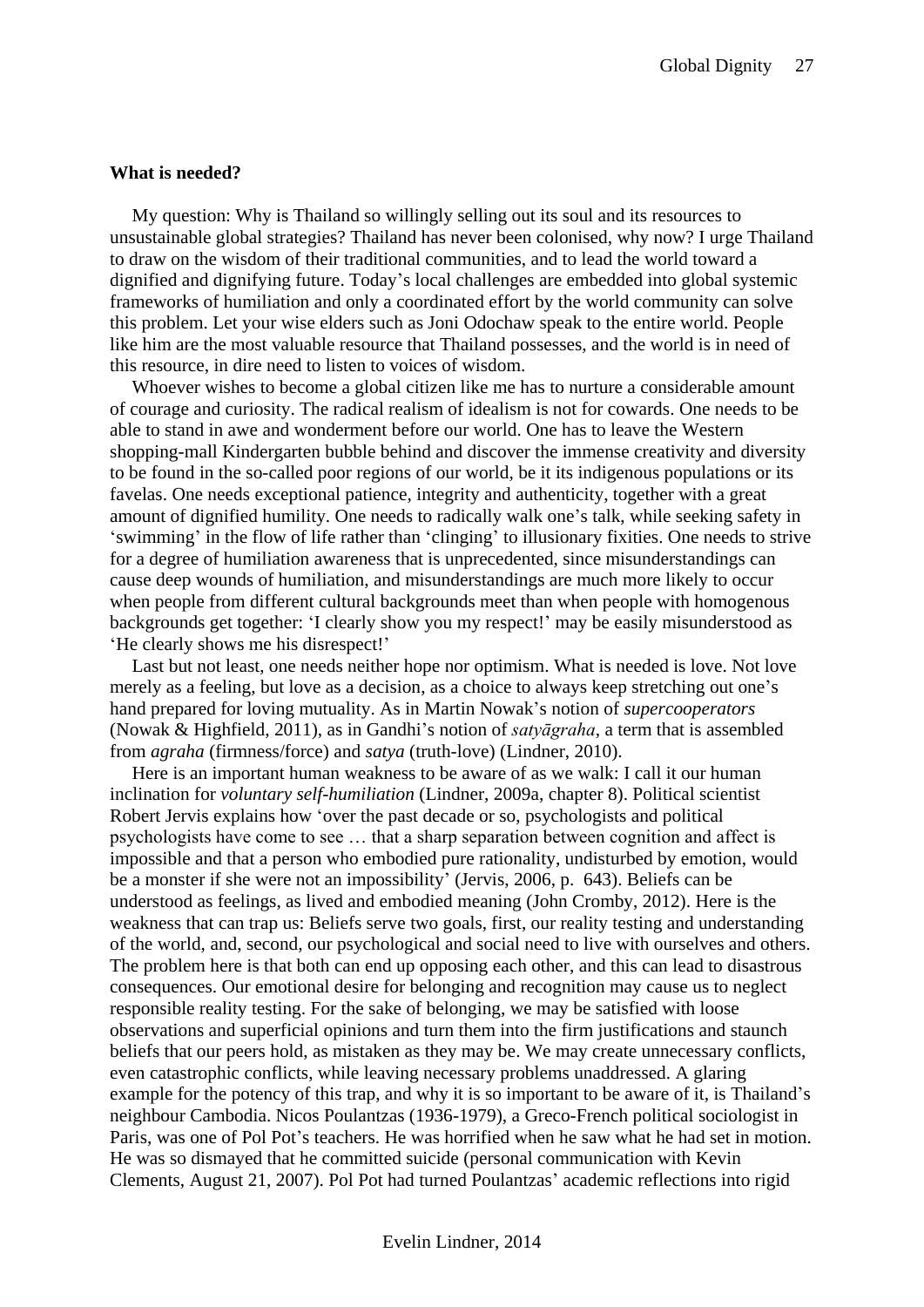#### <span id="page-26-0"></span>**What is needed?**

My question: Why is Thailand so willingly selling out its soul and its resources to unsustainable global strategies? Thailand has never been colonised, why now? I urge Thailand to draw on the wisdom of their traditional communities, and to lead the world toward a dignified and dignifying future. Today's local challenges are embedded into global systemic frameworks of humiliation and only a coordinated effort by the world community can solve this problem. Let your wise elders such as Joni Odochaw speak to the entire world. People like him are the most valuable resource that Thailand possesses, and the world is in need of this resource, in dire need to listen to voices of wisdom.

Whoever wishes to become a global citizen like me has to nurture a considerable amount of courage and curiosity. The radical realism of idealism is not for cowards. One needs to be able to stand in awe and wonderment before our world. One has to leave the Western shopping-mall Kindergarten bubble behind and discover the immense creativity and diversity to be found in the so-called poor regions of our world, be it its indigenous populations or its favelas. One needs exceptional patience, integrity and authenticity, together with a great amount of dignified humility. One needs to radically walk one's talk, while seeking safety in 'swimming' in the flow of life rather than 'clinging' to illusionary fixities. One needs to strive for a degree of humiliation awareness that is unprecedented, since misunderstandings can cause deep wounds of humiliation, and misunderstandings are much more likely to occur when people from different cultural backgrounds meet than when people with homogenous backgrounds get together: 'I clearly show you my respect!' may be easily misunderstood as 'He clearly shows me his disrespect!'

Last but not least, one needs neither hope nor optimism. What is needed is love. Not love merely as a feeling, but love as a decision, as a choice to always keep stretching out one's hand prepared for loving mutuality. As in Martin Nowak's notion of *supercooperators* (Nowak & Highfield, 2011), as in Gandhi's notion of *satyāgraha*, a term that is assembled from *agraha* (firmness/force) and *satya* (truth-love) (Lindner, 2010).

Here is an important human weakness to be aware of as we walk: I call it our human inclination for *voluntary self-humiliation* (Lindner, 2009a, chapter 8). Political scientist Robert Jervis explains how 'over the past decade or so, psychologists and political psychologists have come to see … that a sharp separation between cognition and affect is impossible and that a person who embodied pure rationality, undisturbed by emotion, would be a monster if she were not an impossibility' (Jervis, 2006, p. 643). Beliefs can be understood as feelings, as lived and embodied meaning (John Cromby, 2012). Here is the weakness that can trap us: Beliefs serve two goals, first, our reality testing and understanding of the world, and, second, our psychological and social need to live with ourselves and others. The problem here is that both can end up opposing each other, and this can lead to disastrous consequences. Our emotional desire for belonging and recognition may cause us to neglect responsible reality testing. For the sake of belonging, we may be satisfied with loose observations and superficial opinions and turn them into the firm justifications and staunch beliefs that our peers hold, as mistaken as they may be. We may create unnecessary conflicts, even catastrophic conflicts, while leaving necessary problems unaddressed. A glaring example for the potency of this trap, and why it is so important to be aware of it, is Thailand's neighbour Cambodia. Nicos Poulantzas (1936-1979), a Greco-French political sociologist in Paris, was one of Pol Pot's teachers. He was horrified when he saw what he had set in motion. He was so dismayed that he committed suicide (personal communication with Kevin Clements, August 21, 2007). Pol Pot had turned Poulantzas' academic reflections into rigid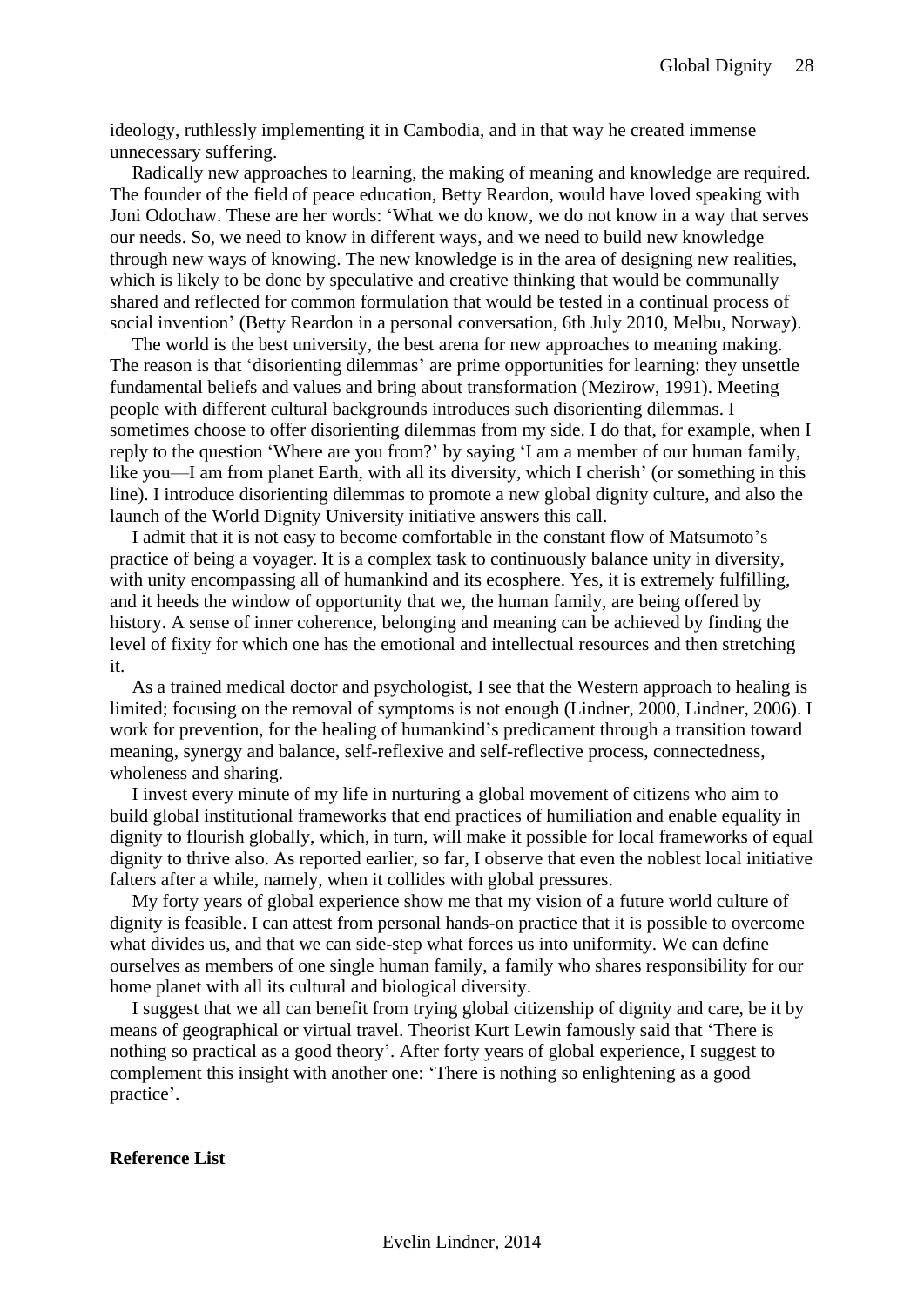ideology, ruthlessly implementing it in Cambodia, and in that way he created immense unnecessary suffering.

Radically new approaches to learning, the making of meaning and knowledge are required. The founder of the field of peace education, Betty Reardon, would have loved speaking with Joni Odochaw. These are her words: 'What we do know, we do not know in a way that serves our needs. So, we need to know in different ways, and we need to build new knowledge through new ways of knowing. The new knowledge is in the area of designing new realities, which is likely to be done by speculative and creative thinking that would be communally shared and reflected for common formulation that would be tested in a continual process of social invention' (Betty Reardon in a personal conversation, 6th July 2010, Melbu, Norway).

The world is the best university, the best arena for new approaches to meaning making. The reason is that 'disorienting dilemmas' are prime opportunities for learning: they unsettle fundamental beliefs and values and bring about transformation (Mezirow, 1991). Meeting people with different cultural backgrounds introduces such disorienting dilemmas. I sometimes choose to offer disorienting dilemmas from my side. I do that, for example, when I reply to the question 'Where are you from?' by saying 'I am a member of our human family, like you—I am from planet Earth, with all its diversity, which I cherish' (or something in this line). I introduce disorienting dilemmas to promote a new global dignity culture, and also the launch of the World Dignity University initiative answers this call.

I admit that it is not easy to become comfortable in the constant flow of Matsumoto's practice of being a voyager. It is a complex task to continuously balance unity in diversity, with unity encompassing all of humankind and its ecosphere. Yes, it is extremely fulfilling, and it heeds the window of opportunity that we, the human family, are being offered by history. A sense of inner coherence, belonging and meaning can be achieved by finding the level of fixity for which one has the emotional and intellectual resources and then stretching it.

As a trained medical doctor and psychologist, I see that the Western approach to healing is limited; focusing on the removal of symptoms is not enough (Lindner, 2000, Lindner, 2006). I work for prevention, for the healing of humankind's predicament through a transition toward meaning, synergy and balance, self-reflexive and self-reflective process, connectedness, wholeness and sharing.

I invest every minute of my life in nurturing a global movement of citizens who aim to build global institutional frameworks that end practices of humiliation and enable equality in dignity to flourish globally, which, in turn, will make it possible for local frameworks of equal dignity to thrive also. As reported earlier, so far, I observe that even the noblest local initiative falters after a while, namely, when it collides with global pressures.

My forty years of global experience show me that my vision of a future world culture of dignity is feasible. I can attest from personal hands-on practice that it is possible to overcome what divides us, and that we can side-step what forces us into uniformity. We can define ourselves as members of one single human family, a family who shares responsibility for our home planet with all its cultural and biological diversity.

I suggest that we all can benefit from trying global citizenship of dignity and care, be it by means of geographical or virtual travel. Theorist Kurt Lewin famously said that 'There is nothing so practical as a good theory'. After forty years of global experience, I suggest to complement this insight with another one: 'There is nothing so enlightening as a good practice'.

#### <span id="page-27-0"></span>**Reference List**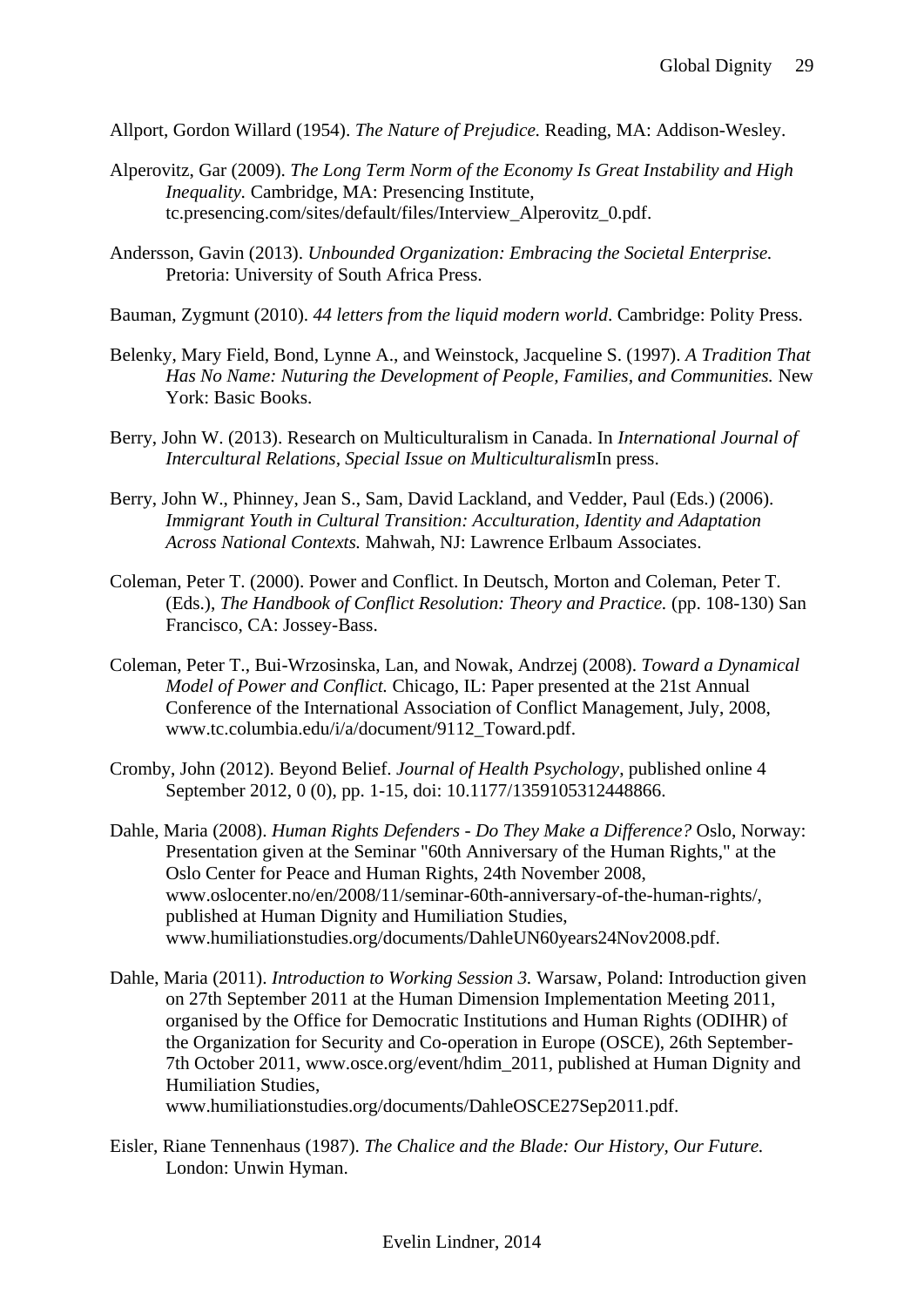- Allport, Gordon Willard (1954). *The Nature of Prejudice.* Reading, MA: Addison-Wesley.
- Alperovitz, Gar (2009). *The Long Term Norm of the Economy Is Great Instability and High Inequality.* Cambridge, MA: Presencing Institute, tc.presencing.com/sites/default/files/Interview\_Alperovitz\_0.pdf.
- Andersson, Gavin (2013). *Unbounded Organization: Embracing the Societal Enterprise.*  Pretoria: University of South Africa Press.
- Bauman, Zygmunt (2010). *44 letters from the liquid modern world*. Cambridge: Polity Press.
- Belenky, Mary Field, Bond, Lynne A., and Weinstock, Jacqueline S. (1997). *A Tradition That Has No Name: Nuturing the Development of People, Families, and Communities.* New York: Basic Books.
- Berry, John W. (2013). Research on Multiculturalism in Canada. In *International Journal of Intercultural Relations, Special Issue on Multiculturalism*In press.
- Berry, John W., Phinney, Jean S., Sam, David Lackland, and Vedder, Paul (Eds.) (2006). *Immigrant Youth in Cultural Transition: Acculturation, Identity and Adaptation Across National Contexts.* Mahwah, NJ: Lawrence Erlbaum Associates.
- Coleman, Peter T. (2000). Power and Conflict. In Deutsch, Morton and Coleman, Peter T. (Eds.), *The Handbook of Conflict Resolution: Theory and Practice.* (pp. 108-130) San Francisco, CA: Jossey-Bass.
- Coleman, Peter T., Bui-Wrzosinska, Lan, and Nowak, Andrzej (2008). *Toward a Dynamical Model of Power and Conflict.* Chicago, IL: Paper presented at the 21st Annual Conference of the International Association of Conflict Management, July, 2008, [www.tc.columbia.edu/i/a/document/9112\\_Toward.pdf.](http://www.tc.columbia.edu/i/a/document/9112_Toward.pdf)
- Cromby, John (2012). Beyond Belief. *Journal of Health Psychology*, published online 4 September 2012, 0 (0), pp. 1-15, doi: 10.1177/1359105312448866.
- Dahle, Maria (2008). *Human Rights Defenders - Do They Make a Difference?* Oslo, Norway: Presentation given at the Seminar "60th Anniversary of the Human Rights," at the Oslo Center for Peace and Human Rights, 24th November 2008, [www.oslocenter.no/en/2008/11/seminar-60th-anniversary-of-the-human-rights/,](http://www.oslocenter.no/en/2008/11/seminar-60th-anniversary-of-the-human-rights/) published at Human Dignity and Humiliation Studies, [www.humiliationstudies.org/documents/DahleUN60years24Nov2008.pdf.](http://www.humiliationstudies.org/documents/DahleUN60years24Nov2008.pdf)
- Dahle, Maria (2011). *Introduction to Working Session 3.* Warsaw, Poland: Introduction given on 27th September 2011 at the Human Dimension Implementation Meeting 2011, organised by the Office for Democratic Institutions and Human Rights (ODIHR) of the Organization for Security and Co-operation in Europe (OSCE), 26th September-7th October 2011, [www.osce.org/event/hdim\\_2011,](http://www.osce.org/event/hdim_2011) published at Human Dignity and Humiliation Studies, [www.humiliationstudies.org/documents/DahleOSCE27Sep2011.pdf.](http://www.humiliationstudies.org/documents/DahleOSCE27Sep2011.pdf)
- Eisler, Riane Tennenhaus (1987). *The Chalice and the Blade: Our History, Our Future.*  London: Unwin Hyman.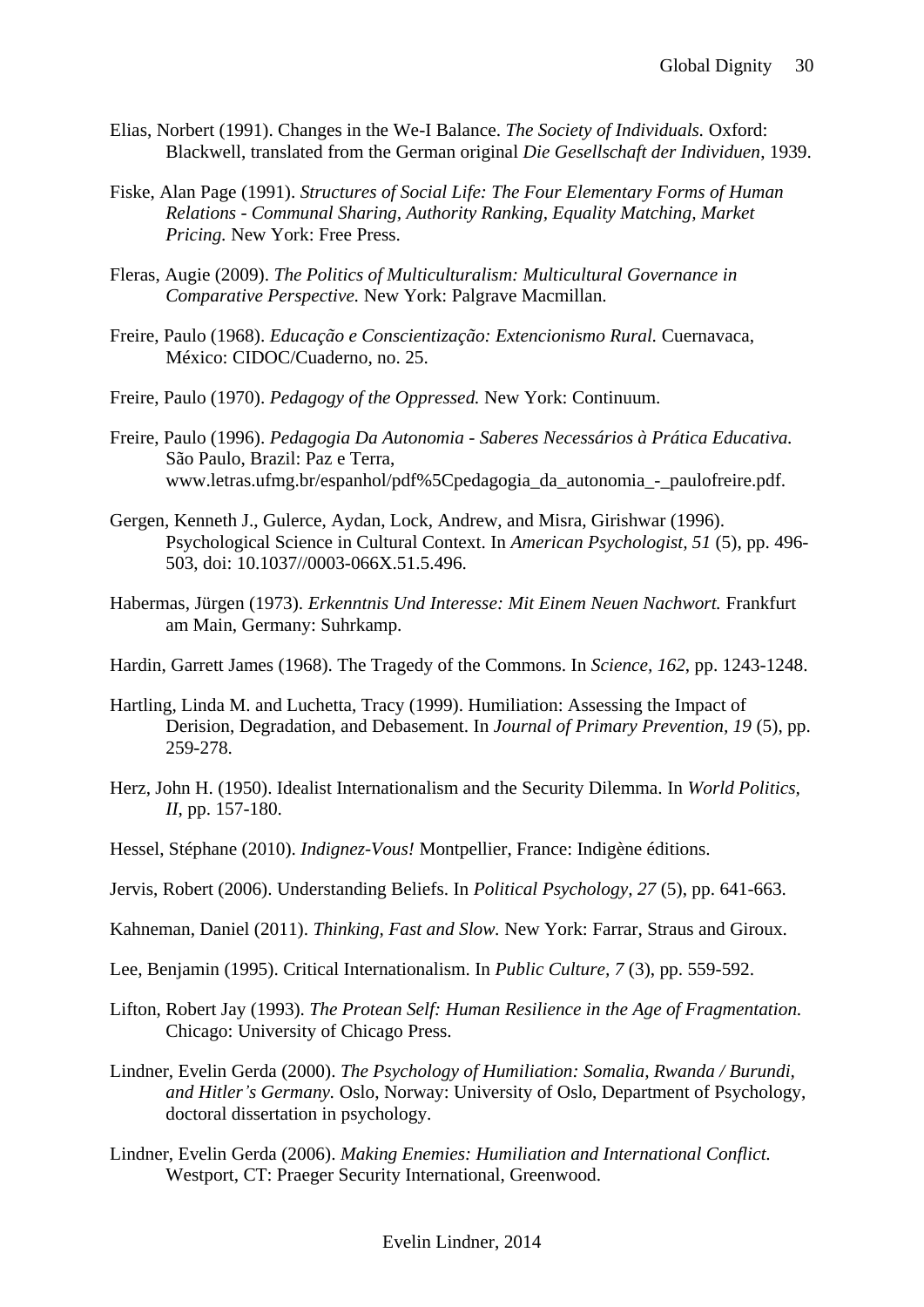- Elias, Norbert (1991). Changes in the We-I Balance. *The Society of Individuals.* Oxford: Blackwell, translated from the German original *Die Gesellschaft der Individuen*, 1939.
- Fiske, Alan Page (1991). *Structures of Social Life: The Four Elementary Forms of Human Relations - Communal Sharing, Authority Ranking, Equality Matching, Market Pricing.* New York: Free Press.
- Fleras, Augie (2009). *The Politics of Multiculturalism: Multicultural Governance in Comparative Perspective.* New York: Palgrave Macmillan.
- Freire, Paulo (1968). *Educação e Conscientização: Extencionismo Rural.* Cuernavaca, México: CIDOC/Cuaderno, no. 25.
- Freire, Paulo (1970). *Pedagogy of the Oppressed.* New York: Continuum.
- Freire, Paulo (1996). *Pedagogia Da Autonomia - Saberes Necessários à Prática Educativa.*  São Paulo, Brazil: Paz e Terra, [www.letras.ufmg.br/espanhol/pdf%5Cpedagogia\\_da\\_autonomia\\_-\\_paulofreire.pdf.](http://www.letras.ufmg.br/espanhol/pdf%5Cpedagogia_da_autonomia_-_paulofreire.pdf)
- Gergen, Kenneth J., Gulerce, Aydan, Lock, Andrew, and Misra, Girishwar (1996). Psychological Science in Cultural Context. In *American Psychologist, 51* (5), pp. 496- 503, doi: 10.1037//0003-066X.51.5.496.
- Habermas, Jürgen (1973). *Erkenntnis Und Interesse: Mit Einem Neuen Nachwort.* Frankfurt am Main, Germany: Suhrkamp.
- Hardin, Garrett James (1968). The Tragedy of the Commons. In *Science, 162*, pp. 1243-1248.
- Hartling, Linda M. and Luchetta, Tracy (1999). Humiliation: Assessing the Impact of Derision, Degradation, and Debasement. In *Journal of Primary Prevention, 19* (5), pp. 259-278.
- Herz, John H. (1950). Idealist Internationalism and the Security Dilemma. In *World Politics, II*, pp. 157-180.
- Hessel, Stéphane (2010). *Indignez-Vous!* Montpellier, France: Indigène éditions.
- Jervis, Robert (2006). Understanding Beliefs. In *Political Psychology, 27* (5), pp. 641-663.
- Kahneman, Daniel (2011). *Thinking, Fast and Slow.* New York: Farrar, Straus and Giroux.
- Lee, Benjamin (1995). Critical Internationalism. In *Public Culture, 7* (3), pp. 559-592.
- Lifton, Robert Jay (1993). *The Protean Self: Human Resilience in the Age of Fragmentation.*  Chicago: University of Chicago Press.
- Lindner, Evelin Gerda (2000). *The Psychology of Humiliation: Somalia, Rwanda / Burundi, and Hitler's Germany.* Oslo, Norway: University of Oslo, Department of Psychology, doctoral dissertation in psychology.
- Lindner, Evelin Gerda (2006). *Making Enemies: Humiliation and International Conflict.*  Westport, CT: Praeger Security International, Greenwood.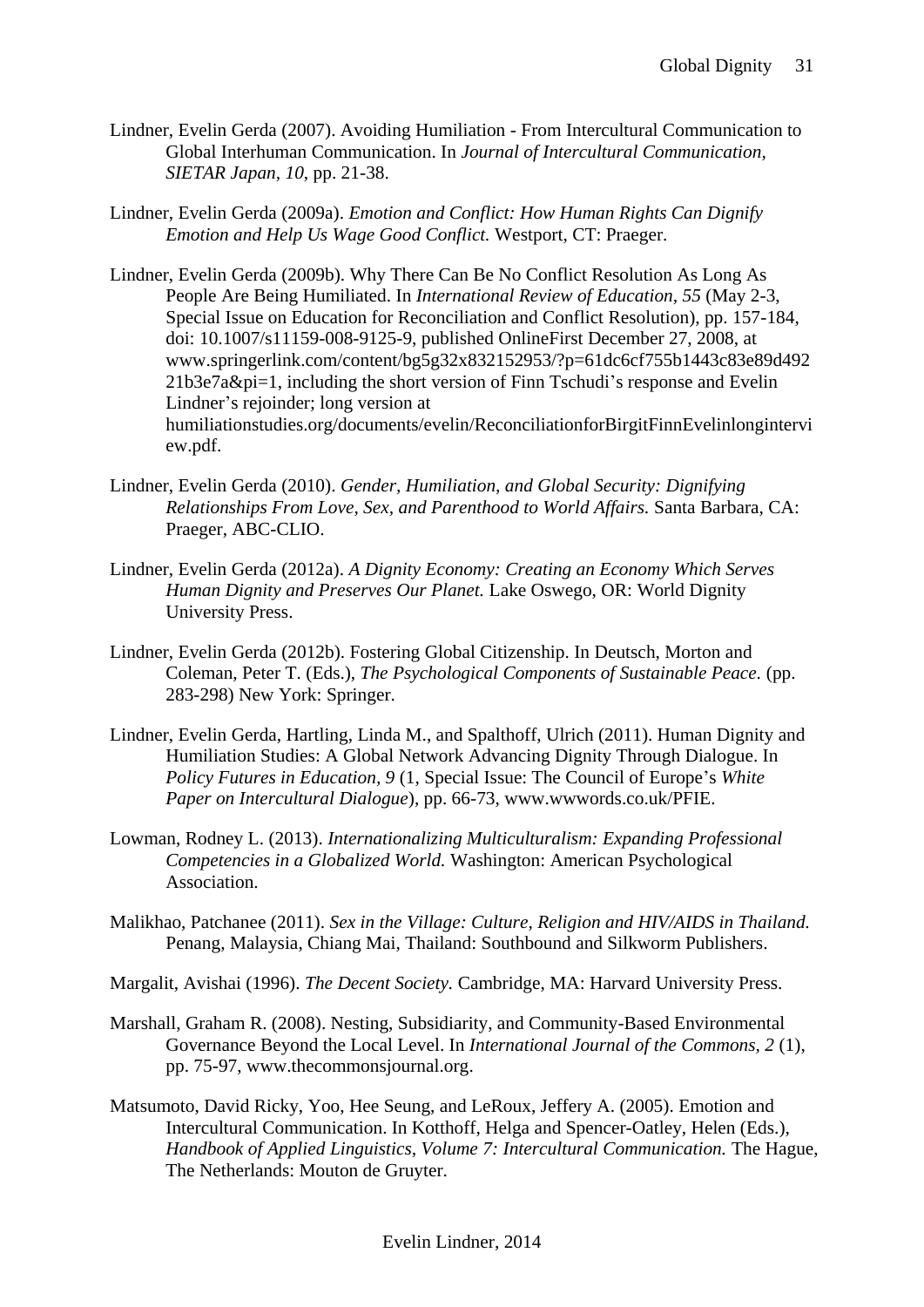- Lindner, Evelin Gerda (2007). Avoiding Humiliation From Intercultural Communication to Global Interhuman Communication. In *Journal of Intercultural Communication, SIETAR Japan, 10*, pp. 21-38.
- Lindner, Evelin Gerda (2009a). *Emotion and Conflict: How Human Rights Can Dignify Emotion and Help Us Wage Good Conflict.* Westport, CT: Praeger.

Lindner, Evelin Gerda (2009b). Why There Can Be No Conflict Resolution As Long As People Are Being Humiliated. In *International Review of Education, 55* (May 2-3, Special Issue on Education for Reconciliation and Conflict Resolution), pp. 157-184, doi: 10.1007/s11159-008-9125-9, published OnlineFirst December 27, 2008, at [www.springerlink.com/content/bg5g32x832152953/?p=61dc6cf755b1443c83e89d492](http://www.springerlink.com/content/bg5g32x832152953/?p=61dc6cf755b1443c83e89d49221b3e7a&pi=1)  $21b3e7a\π=1$ , including the short version of Finn Tschudi's response and Evelin Lindner's rejoinder; long version at humiliationstudies.org/documents/evelin/ReconciliationforBirgitFinnEvelinlongintervi ew.pdf.

- Lindner, Evelin Gerda (2010). *Gender, Humiliation, and Global Security: Dignifying Relationships From Love, Sex, and Parenthood to World Affairs.* Santa Barbara, CA: Praeger, ABC-CLIO.
- Lindner, Evelin Gerda (2012a). *A Dignity Economy: Creating an Economy Which Serves Human Dignity and Preserves Our Planet.* Lake Oswego, OR: World Dignity University Press.
- Lindner, Evelin Gerda (2012b). Fostering Global Citizenship. In Deutsch, Morton and Coleman, Peter T. (Eds.), *The Psychological Components of Sustainable Peace.* (pp. 283-298) New York: Springer.
- Lindner, Evelin Gerda, Hartling, Linda M., and Spalthoff, Ulrich (2011). Human Dignity and Humiliation Studies: A Global Network Advancing Dignity Through Dialogue. In *Policy Futures in Education, 9* (1, Special Issue: The Council of Europe's *White Paper on Intercultural Dialogue*), pp. 66-73, [www.wwwords.co.uk/PFIE.](http://www.wwwords.co.uk/PFIE)
- Lowman, Rodney L. (2013). *Internationalizing Multiculturalism: Expanding Professional Competencies in a Globalized World.* Washington: American Psychological Association.
- Malikhao, Patchanee (2011). *Sex in the Village: Culture, Religion and HIV/AIDS in Thailand.*  Penang, Malaysia, Chiang Mai, Thailand: Southbound and Silkworm Publishers.
- Margalit, Avishai (1996). *The Decent Society.* Cambridge, MA: Harvard University Press.
- Marshall, Graham R. (2008). Nesting, Subsidiarity, and Community-Based Environmental Governance Beyond the Local Level. In *International Journal of the Commons, 2* (1), pp. 75-97, [www.thecommonsjournal.org.](http://www.thecommonsjournal.org/)
- Matsumoto, David Ricky, Yoo, Hee Seung, and LeRoux, Jeffery A. (2005). Emotion and Intercultural Communication. In Kotthoff, Helga and Spencer-Oatley, Helen (Eds.), *Handbook of Applied Linguistics, Volume 7: Intercultural Communication.* The Hague, The Netherlands: Mouton de Gruyter.